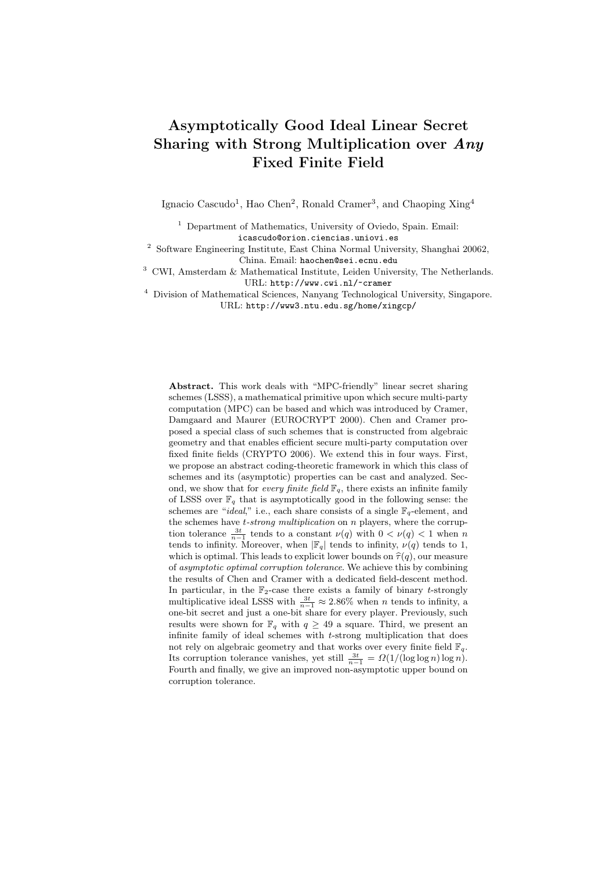# Asymptotically Good Ideal Linear Secret Sharing with Strong Multiplication over Any Fixed Finite Field

Ignacio Cascudo<sup>1</sup>, Hao Chen<sup>2</sup>, Ronald Cramer<sup>3</sup>, and Chaoping Xing<sup>4</sup>

<sup>1</sup> Department of Mathematics, University of Oviedo, Spain. Email: icascudo@orion.ciencias.uniovi.es

<sup>2</sup> Software Engineering Institute, East China Normal University, Shanghai 20062, China. Email: haochen@sei.ecnu.edu

 $^3\,$  CWI, Amsterdam & Mathematical Institute, Leiden University, The Netherlands. URL: http://www.cwi.nl/~cramer

 $^4\,$  Division of Mathematical Sciences, Nanyang Technological University, Singapore. URL: http://www3.ntu.edu.sg/home/xingcp/

Abstract. This work deals with "MPC-friendly" linear secret sharing schemes (LSSS), a mathematical primitive upon which secure multi-party computation (MPC) can be based and which was introduced by Cramer, Damgaard and Maurer (EUROCRYPT 2000). Chen and Cramer proposed a special class of such schemes that is constructed from algebraic geometry and that enables efficient secure multi-party computation over fixed finite fields (CRYPTO 2006). We extend this in four ways. First, we propose an abstract coding-theoretic framework in which this class of schemes and its (asymptotic) properties can be cast and analyzed. Second, we show that for every finite field  $\mathbb{F}_q$ , there exists an infinite family of LSSS over  $\mathbb{F}_q$  that is asymptotically good in the following sense: the schemes are "*ideal*," i.e., each share consists of a single  $\mathbb{F}_q$ -element, and the schemes have  $t\text{-}strong\ multiplication\ on\ n\ players,$  where the corruption tolerance  $\frac{3t}{n-1}$  tends to a constant  $\nu(q)$  with  $0 < \nu(q) < 1$  when n tends to infinity. Moreover, when  $|\mathbb{F}_q|$  tends to infinity,  $\nu(q)$  tends to 1, which is optimal. This leads to explicit lower bounds on  $\hat{\tau}(q)$ , our measure of asymptotic optimal corruption tolerance. We achieve this by combining the results of Chen and Cramer with a dedicated field-descent method. In particular, in the  $\mathbb{F}_2$ -case there exists a family of binary t-strongly multiplicative ideal LSSS with  $\frac{3t}{n-1} \approx 2.86\%$  when n tends to infinity, a one-bit secret and just a one-bit share for every player. Previously, such results were shown for  $\mathbb{F}_q$  with  $q \geq 49$  a square. Third, we present an infinite family of ideal schemes with t-strong multiplication that does not rely on algebraic geometry and that works over every finite field  $\mathbb{F}_q$ . Its corruption tolerance vanishes, yet still  $\frac{3t}{n-1} = \Omega(1/(\log \log n) \log n)$ . Fourth and finally, we give an improved non-asymptotic upper bound on corruption tolerance.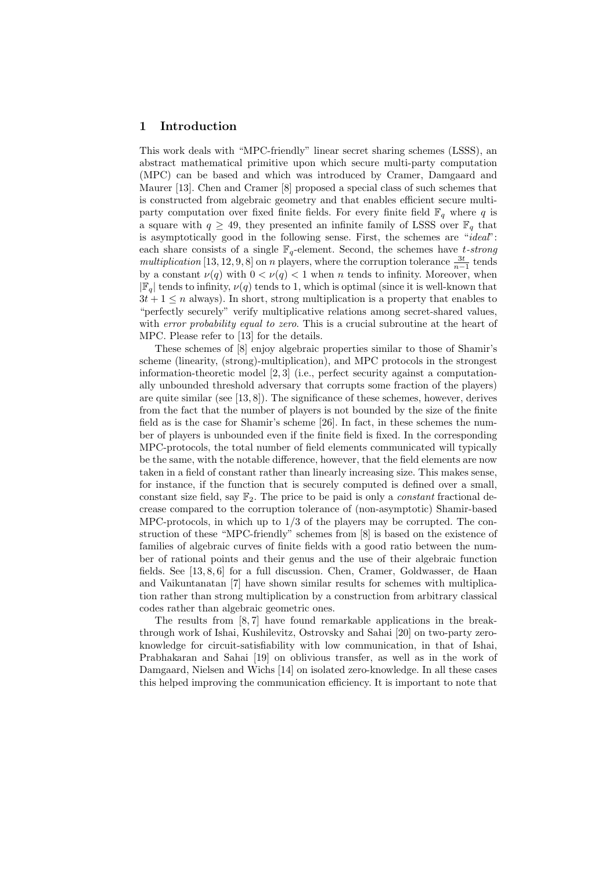# 1 Introduction

This work deals with "MPC-friendly" linear secret sharing schemes (LSSS), an abstract mathematical primitive upon which secure multi-party computation (MPC) can be based and which was introduced by Cramer, Damgaard and Maurer [13]. Chen and Cramer [8] proposed a special class of such schemes that is constructed from algebraic geometry and that enables efficient secure multiparty computation over fixed finite fields. For every finite field  $\mathbb{F}_q$  where q is a square with  $q \geq 49$ , they presented an infinite family of LSSS over  $\mathbb{F}_q$  that is asymptotically good in the following sense. First, the schemes are "ideal": each share consists of a single  $\mathbb{F}_q$ -element. Second, the schemes have t-strong multiplication [13, 12, 9, 8] on *n* players, where the corruption tolerance  $\frac{3t}{n-1}$  tends by a constant  $\nu(q)$  with  $0 < \nu(q) < 1$  when n tends to infinity. Moreover, when  $|\mathbb{F}_q|$  tends to infinity,  $\nu(q)$  tends to 1, which is optimal (since it is well-known that  $3t + 1 \leq n$  always). In short, strong multiplication is a property that enables to "perfectly securely" verify multiplicative relations among secret-shared values, with error probability equal to zero. This is a crucial subroutine at the heart of MPC. Please refer to [13] for the details.

These schemes of [8] enjoy algebraic properties similar to those of Shamir's scheme (linearity, (strong)-multiplication), and MPC protocols in the strongest information-theoretic model [2, 3] (i.e., perfect security against a computationally unbounded threshold adversary that corrupts some fraction of the players) are quite similar (see  $[13, 8]$ ). The significance of these schemes, however, derives from the fact that the number of players is not bounded by the size of the finite field as is the case for Shamir's scheme [26]. In fact, in these schemes the number of players is unbounded even if the finite field is fixed. In the corresponding MPC-protocols, the total number of field elements communicated will typically be the same, with the notable difference, however, that the field elements are now taken in a field of constant rather than linearly increasing size. This makes sense, for instance, if the function that is securely computed is defined over a small, constant size field, say  $\mathbb{F}_2$ . The price to be paid is only a *constant* fractional decrease compared to the corruption tolerance of (non-asymptotic) Shamir-based MPC-protocols, in which up to 1/3 of the players may be corrupted. The construction of these "MPC-friendly" schemes from [8] is based on the existence of families of algebraic curves of finite fields with a good ratio between the number of rational points and their genus and the use of their algebraic function fields. See [13, 8, 6] for a full discussion. Chen, Cramer, Goldwasser, de Haan and Vaikuntanatan [7] have shown similar results for schemes with multiplication rather than strong multiplication by a construction from arbitrary classical codes rather than algebraic geometric ones.

The results from [8, 7] have found remarkable applications in the breakthrough work of Ishai, Kushilevitz, Ostrovsky and Sahai [20] on two-party zeroknowledge for circuit-satisfiability with low communication, in that of Ishai, Prabhakaran and Sahai [19] on oblivious transfer, as well as in the work of Damgaard, Nielsen and Wichs [14] on isolated zero-knowledge. In all these cases this helped improving the communication efficiency. It is important to note that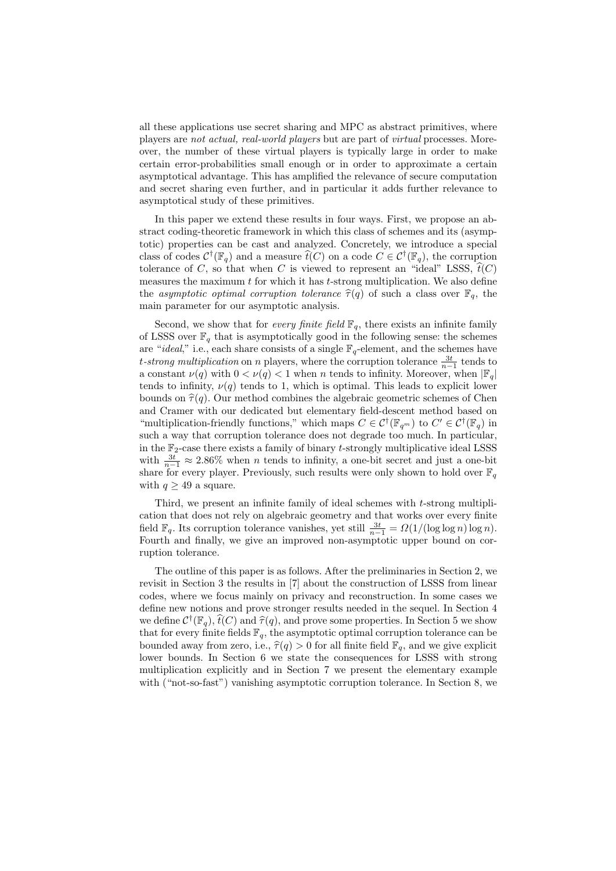all these applications use secret sharing and MPC as abstract primitives, where players are not actual, real-world players but are part of virtual processes. Moreover, the number of these virtual players is typically large in order to make certain error-probabilities small enough or in order to approximate a certain asymptotical advantage. This has amplified the relevance of secure computation and secret sharing even further, and in particular it adds further relevance to asymptotical study of these primitives.

In this paper we extend these results in four ways. First, we propose an abstract coding-theoretic framework in which this class of schemes and its (asymptotic) properties can be cast and analyzed. Concretely, we introduce a special class of codes  $C^{\dagger}(\mathbb{F}_q)$  and a measure  $\widehat{t}(C)$  on a code  $C \in C^{\dagger}(\mathbb{F}_q)$ , the corruption tolerance of C, so that when C is viewed to represent an "ideal" LSSS,  $\hat{t}(C)$ measures the maximum  $t$  for which it has  $t$ -strong multiplication. We also define the asymptotic optimal corruption tolerance  $\hat{\tau}(q)$  of such a class over  $\mathbb{F}_q$ , the main parameter for our asymptotic analysis.

Second, we show that for *every finite field*  $\mathbb{F}_q$ , there exists an infinite family of LSSS over  $\mathbb{F}_q$  that is asymptotically good in the following sense: the schemes are "ideal," i.e., each share consists of a single  $\mathbb{F}_q$ -element, and the schemes have t-strong multiplication on n players, where the corruption tolerance  $\frac{3t}{n-1}$  tends to a constant  $\nu(q)$  with  $0 < \nu(q) < 1$  when n tends to infinity. Moreover, when  $|\mathbb{F}_q|$ tends to infinity,  $\nu(q)$  tends to 1, which is optimal. This leads to explicit lower bounds on  $\hat{\tau}(q)$ . Our method combines the algebraic geometric schemes of Chen and Cramer with our dedicated but elementary field-descent method based on "multiplication-friendly functions," which maps  $C \in \mathcal{C}^{\dagger}(\mathbb{F}_{q^m})$  to  $C' \in \mathcal{C}^{\dagger}(\mathbb{F}_q)$  in such a way that corruption tolerance does not degrade too much. In particular, in the  $\mathbb{F}_2$ -case there exists a family of binary t-strongly multiplicative ideal LSSS with  $\frac{3t}{n-1} \approx 2.86\%$  when *n* tends to infinity, a one-bit secret and just a one-bit share for every player. Previously, such results were only shown to hold over  $\mathbb{F}_q$ with  $q \geq 49$  a square.

Third, we present an infinite family of ideal schemes with t-strong multiplication that does not rely on algebraic geometry and that works over every finite field  $\mathbb{F}_q$ . Its corruption tolerance vanishes, yet still  $\frac{3t}{n-1} = \Omega(1/(\log \log n) \log n)$ . Fourth and finally, we give an improved non-asymptotic upper bound on corruption tolerance.

The outline of this paper is as follows. After the preliminaries in Section 2, we revisit in Section 3 the results in [7] about the construction of LSSS from linear codes, where we focus mainly on privacy and reconstruction. In some cases we define new notions and prove stronger results needed in the sequel. In Section 4 we define  $\mathcal{C}^{\dagger}(\mathbb{F}_{q}), \hat{t}(C)$  and  $\hat{\tau}(q)$ , and prove some properties. In Section 5 we show<br>that for every finite fields  $\mathbb{F}_{q}$ , the example is actual corruption televance can be that for every finite fields  $\mathbb{F}_q$ , the asymptotic optimal corruption tolerance can be bounded away from zero, i.e.,  $\hat{\tau}(q) > 0$  for all finite field  $\mathbb{F}_q$ , and we give explicit lower bounds. In Section 6 we state the consequences for LSSS with strong multiplication explicitly and in Section 7 we present the elementary example with ("not-so-fast") vanishing asymptotic corruption tolerance. In Section 8, we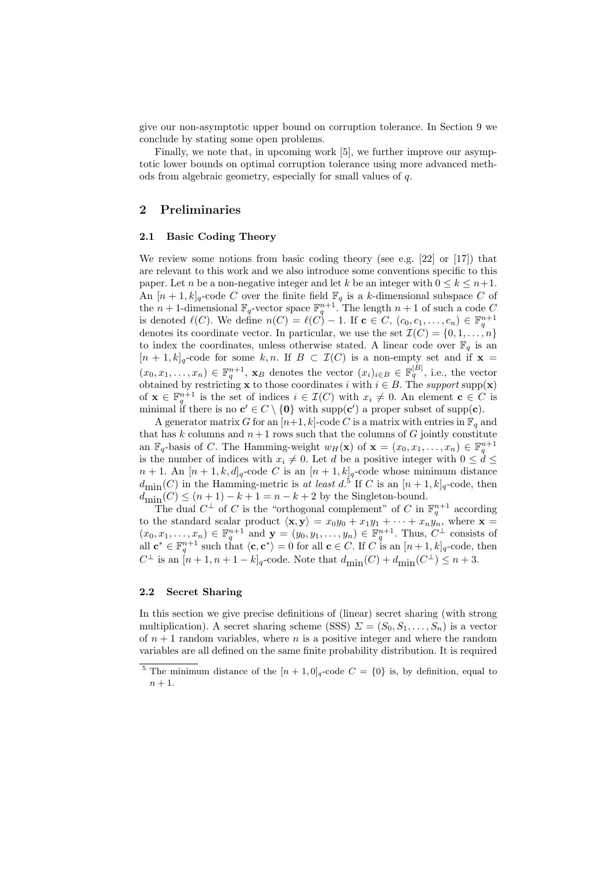give our non-asymptotic upper bound on corruption tolerance. In Section 9 we conclude by stating some open problems.

Finally, we note that, in upcoming work [5], we further improve our asymptotic lower bounds on optimal corruption tolerance using more advanced methods from algebraic geometry, especially for small values of q.

# 2 Preliminaries

#### 2.1 Basic Coding Theory

We review some notions from basic coding theory (see e.g. [22] or [17]) that are relevant to this work and we also introduce some conventions specific to this paper. Let *n* be a non-negative integer and let k be an integer with  $0 \leq k \leq n+1$ . An  $[n+1, k]_q$ -code C over the finite field  $\mathbb{F}_q$  is a k-dimensional subspace C of the  $n+1$ -dimensional  $\mathbb{F}_q$ -vector space  $\mathbb{F}_q^{n+1}$ . The length  $n+1$  of such a code C is denoted  $\ell(C)$ . We define  $n(C) = \ell(C) - 1$ . If  $c \in C$ ,  $(c_0, c_1, \ldots, c_n) \in \mathbb{F}_q^{n+1}$ denotes its coordinate vector. In particular, we use the set  $\mathcal{I}(C) = \{0, 1, \ldots, n\}$ to index the coordinates, unless otherwise stated. A linear code over  $\mathbb{F}_q$  is an  $[n+1, k]_q$ -code for some k, n. If  $B \subset \mathcal{I}(C)$  is a non-empty set and if  $\mathbf{x} =$  $(x_0, x_1, \ldots, x_n) \in \mathbb{F}_q^{n+1}$ ,  $\mathbf{x}_B$  denotes the vector  $(x_i)_{i \in B} \in \mathbb{F}_q^{|B|}$ , i.e., the vector obtained by restricting **x** to those coordinates i with  $i \in B$ . The support supp(**x**) of  $\mathbf{x} \in \mathbb{F}_q^{n+1}$  is the set of indices  $i \in \mathcal{I}(C)$  with  $x_i \neq 0$ . An element  $\mathbf{c} \in C$  is minimal if there is no  $c' \in C \setminus \{0\}$  with supp(c') a proper subset of supp(c).

A generator matrix G for an  $[n+1, k]$ -code C is a matrix with entries in  $\mathbb{F}_q$  and that has k columns and  $n+1$  rows such that the columns of G jointly constitute an  $\mathbb{F}_q$ -basis of C. The Hamming-weight  $w_H(\mathbf{x})$  of  $\mathbf{x} = (x_0, x_1, \dots, x_n) \in \mathbb{F}_q^{n+1}$ is the number of indices with  $x_i \neq 0$ . Let d be a positive integer with  $0 \leq d \leq$  $n+1$ . An  $[n+1, k, d]_q$ -code C is an  $[n+1, k]_q$ -code whose minimum distance  $d_{\text{min}}(C)$  in the Hamming-metric is at least d.<sup>5</sup> If C is an  $[n+1, k]_q$ -code, then  $d_{\min}^{10}(C) \leq (n+1) - k + 1 = n - k + 2$  by the Singleton-bound.

The dual  $C^{\perp}$  of C is the "orthogonal complement" of C in  $\mathbb{F}_q^{n+1}$  according to the standard scalar product  $\langle \mathbf{x}, \mathbf{y} \rangle = x_0 y_0 + x_1 y_1 + \cdots + x_n y_n$ , where  $\mathbf{x} =$  $(x_0, x_1, \ldots, x_n) \in \mathbb{F}_q^{n+1}$  and  $\mathbf{y} = (y_0, y_1, \ldots, y_n) \in \mathbb{F}_q^{n+1}$ . Thus,  $C^{\perp}$  consists of all  $\mathbf{c}^* \in \mathbb{F}_q^{n+1}$  such that  $\langle \mathbf{c}, \mathbf{c}^* \rangle = 0$  for all  $\mathbf{c} \in C$ . If C is an  $[n+1, k]_q$ -code, then  $C^{\perp}$  is an  $[n+1, n+1-k]_q$ -code. Note that  $d_{\text{min}}(C) + d_{\text{min}}(C^{\perp}) \leq n+3$ .

#### 2.2 Secret Sharing

In this section we give precise definitions of (linear) secret sharing (with strong multiplication). A secret sharing scheme (SSS)  $\Sigma = (S_0, S_1, \ldots, S_n)$  is a vector of  $n + 1$  random variables, where n is a positive integer and where the random variables are all defined on the same finite probability distribution. It is required

<sup>&</sup>lt;sup>5</sup> The minimum distance of the  $[n + 1, 0]_q$ -code  $C = \{0\}$  is, by definition, equal to  $n+1$ .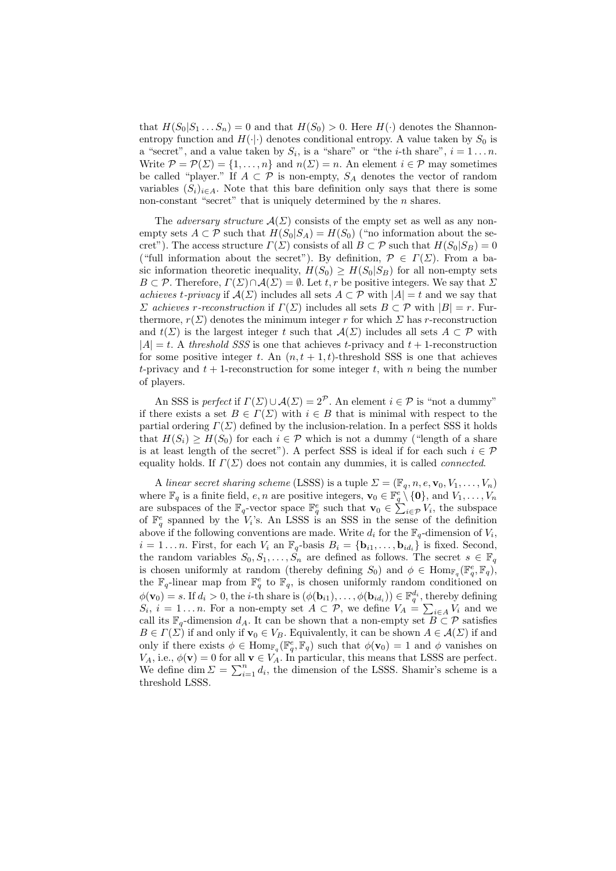that  $H(S_0|S_1...S_n)=0$  and that  $H(S_0)>0$ . Here  $H(\cdot)$  denotes the Shannonentropy function and  $H(\cdot|\cdot)$  denotes conditional entropy. A value taken by  $S_0$  is a "secret", and a value taken by  $S_i$ , is a "share" or "the *i*-th share",  $i = 1...n$ . Write  $\mathcal{P} = \mathcal{P}(\Sigma) = \{1, \ldots, n\}$  and  $n(\Sigma) = n$ . An element  $i \in \mathcal{P}$  may sometimes be called "player." If  $A \subset \mathcal{P}$  is non-empty,  $S_A$  denotes the vector of random variables  $(S_i)_{i\in A}$ . Note that this bare definition only says that there is some non-constant "secret" that is uniquely determined by the  $n$  shares.

The *adversary structure*  $\mathcal{A}(\Sigma)$  consists of the empty set as well as any nonempty sets  $A \subset \mathcal{P}$  such that  $H(S_0|S_A) = H(S_0)$  ("no information about the secret"). The access structure  $\Gamma(\Sigma)$  consists of all  $B \subset \mathcal{P}$  such that  $H(S_0|S_B) = 0$ ("full information about the secret"). By definition,  $\mathcal{P} \in \Gamma(\Sigma)$ . From a basic information theoretic inequality,  $H(S_0) \geq H(S_0|S_B)$  for all non-empty sets B  $\subset \mathcal{P}$ . Therefore,  $\Gamma(\Sigma) \cap \mathcal{A}(\Sigma) = \emptyset$ . Let t, r be positive integers. We say that  $\Sigma$ achieves t-privacy if  $\mathcal{A}(\Sigma)$  includes all sets  $A \subset \mathcal{P}$  with  $|A| = t$  and we say that  $\Sigma$  achieves r-reconstruction if  $\Gamma(\Sigma)$  includes all sets  $B \subset \mathcal{P}$  with  $|B| = r$ . Furthermore,  $r(\Sigma)$  denotes the minimum integer r for which  $\Sigma$  has r-reconstruction and  $t(\Sigma)$  is the largest integer t such that  $\mathcal{A}(\Sigma)$  includes all sets  $A \subset \mathcal{P}$  with  $|A| = t$ . A threshold SSS is one that achieves t-privacy and  $t + 1$ -reconstruction for some positive integer t. An  $(n, t + 1, t)$ -threshold SSS is one that achieves t-privacy and  $t + 1$ -reconstruction for some integer t, with n being the number of players.

An SSS is perfect if  $\Gamma(\Sigma) \cup \mathcal{A}(\Sigma) = 2^{\mathcal{P}}$ . An element  $i \in \mathcal{P}$  is "not a dummy" if there exists a set  $B \in \Gamma(\Sigma)$  with  $i \in B$  that is minimal with respect to the partial ordering  $\Gamma(\Sigma)$  defined by the inclusion-relation. In a perfect SSS it holds that  $H(S_i) \geq H(S_0)$  for each  $i \in \mathcal{P}$  which is not a dummy ("length of a share is at least length of the secret"). A perfect SSS is ideal if for each such  $i \in \mathcal{P}$ equality holds. If  $\Gamma(\Sigma)$  does not contain any dummies, it is called *connected*.

A linear secret sharing scheme (LSSS) is a tuple  $\Sigma = (\mathbb{F}_q, n, e, \mathbf{v}_0, V_1, \ldots, V_n)$ where  $\mathbb{F}_q$  is a finite field,  $e, n$  are positive integers,  $\mathbf{v}_0 \in \mathbb{F}_q^e \setminus \{0\}$ , and  $V_1, \ldots, V_n$ are subspaces of the  $\mathbb{F}_q$ -vector space  $\mathbb{F}_q^e$  such that  $\mathbf{v}_0 \in \sum_{i \in \mathcal{P}} V_i$ , the subspace of  $\mathbb{F}_q^e$  spanned by the  $V_i$ 's. An LSSS is an SSS in the sense of the definition above if the following conventions are made. Write  $d_i$  for the  $\mathbb{F}_q$ -dimension of  $V_i$ ,  $i = 1 \ldots n$ . First, for each  $V_i$  an  $\mathbb{F}_q$ -basis  $B_i = {\mathbf{b}_{i1}, \ldots, \mathbf{b}_{id_i}}$  is fixed. Second, the random variables  $S_0, S_1, \ldots, S_n$  are defined as follows. The secret  $s \in \mathbb{F}_q$ is chosen uniformly at random (thereby defining  $S_0$ ) and  $\phi \in \text{Hom}_{\mathbb{F}_q}(\mathbb{F}_q^e, \mathbb{F}_q)$ , the  $\mathbb{F}_q$ -linear map from  $\mathbb{F}_q^e$  to  $\mathbb{F}_q$ , is chosen uniformly random conditioned on  $\phi(\mathbf{v}_0) = s$ . If  $d_i > 0$ , the *i*-th share is  $(\phi(\mathbf{b}_{i1}), \dots, \phi(\mathbf{b}_{id_i})) \in \mathbb{F}_q^{d_i}$ , thereby defining  $S_i$ ,  $i = 1...n$ . For a non-empty set  $A \subset \mathcal{P}$ , we define  $V_A = \sum_{i \in A} V_i$  and we call its  $\mathbb{F}_q$ -dimension  $d_A$ . It can be shown that a non-empty set  $B \subset \mathcal{P}$  satisfies  $B \in \Gamma(\Sigma)$  if and only if  $\mathbf{v}_0 \in V_B$ . Equivalently, it can be shown  $A \in \mathcal{A}(\Sigma)$  if and only if there exists  $\phi \in \text{Hom}_{\mathbb{F}_q}(\mathbb{F}_q^e, \mathbb{F}_q)$  such that  $\phi(\mathbf{v}_0) = 1$  and  $\phi$  vanishes on  $V_A$ , i.e.,  $\phi(\mathbf{v}) = 0$  for all  $\mathbf{v} \in V_A$ . In particular, this means that LSSS are perfect. We define dim  $\Sigma = \sum_{i=1}^n d_i$ , the dimension of the LSSS. Shamir's scheme is a threshold LSSS.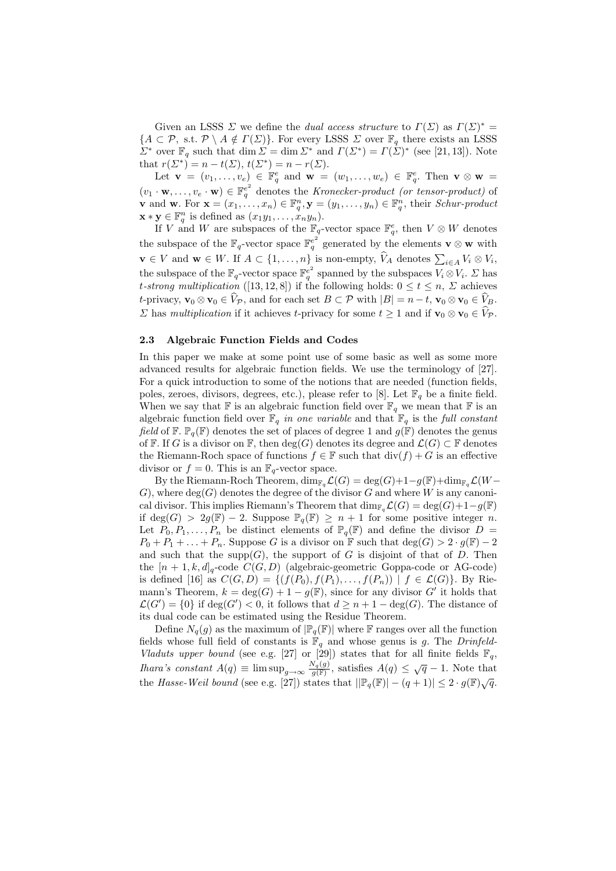Given an LSSS  $\Sigma$  we define the *dual access structure* to  $\Gamma(\Sigma)$  as  $\Gamma(\Sigma)^* =$  ${A \subset \mathcal{P}, \text{ s.t. } \mathcal{P} \setminus A \notin \Gamma(\Sigma)}$ . For every LSSS  $\Sigma$  over  $\mathbb{F}_q$  there exists an LSSS  $\Sigma^*$  over  $\mathbb{F}_q$  such that dim  $\Sigma = \dim \Sigma^*$  and  $\Gamma(\Sigma^*) = \Gamma(\Sigma)^*$  (see [21, 13]). Note that  $r(\Sigma^*) = n - t(\Sigma)$ ,  $t(\Sigma^*) = n - r(\Sigma)$ .

Let  $\mathbf{v} = (v_1, \ldots, v_e) \in \mathbb{F}_q^e$  and  $\mathbf{w} = (w_1, \ldots, w_e) \in \mathbb{F}_q^e$ . Then  $\mathbf{v} \otimes \mathbf{w} =$  $(v_1 \cdot \mathbf{w}, \ldots, v_e \cdot \mathbf{w}) \in \mathbb{F}_q^{e^2}$  denotes the Kronecker-product (or tensor-product) of **v** and **w**. For  $\mathbf{x} = (x_1, \ldots, x_n) \in \mathbb{F}_q^n$ ,  $\mathbf{y} = (y_1, \ldots, y_n) \in \mathbb{F}_q^n$ , their *Schur-product*  $\mathbf{x} * \mathbf{y} \in \mathbb{F}_q^n$  is defined as  $(x_1y_1, \ldots, x_ny_n)$ .

If V and W are subspaces of the  $\mathbb{F}_q$ -vector space  $\mathbb{F}_q^e$ , then  $V \otimes W$  denotes the subspace of the  $\mathbb{F}_q$ -vector space  $\mathbb{F}_q^e$  generated by the elements  $\mathbf{v} \otimes \mathbf{w}$  with  $\mathbf{v} \in V$  and  $\mathbf{w} \in W$ . If  $A \subset \{1, \ldots, n\}$  is non-empty,  $V_A$  denotes  $\sum_{i \in A} V_i \otimes V_i$ , the subspace of the  $\mathbb{F}_q$ -vector space  $\mathbb{F}_q^{e^2}$  spanned by the subspaces  $V_i \otimes V_i$ .  $\Sigma$  has t-strong multiplication ([13, 12, 8]) if the following holds:  $0 \le t \le n$ ,  $\Sigma$  achieves t-privacy,  $\mathbf{v}_0 \otimes \mathbf{v}_0 \in \hat{V}_{\mathcal{P}}$ , and for each set  $B \subset \mathcal{P}$  with  $|B| = n - t$ ,  $\mathbf{v}_0 \otimes \mathbf{v}_0 \in \hat{V}_B$ .  $\Sigma$  has multiplication if it achieves t-privacy for some  $t \geq 1$  and if  $\mathbf{v}_0 \otimes \mathbf{v}_0 \in \widehat{V}_{\mathcal{P}}$ .

#### 2.3 Algebraic Function Fields and Codes

In this paper we make at some point use of some basic as well as some more advanced results for algebraic function fields. We use the terminology of [27]. For a quick introduction to some of the notions that are needed (function fields, poles, zeroes, divisors, degrees, etc.), please refer to [8]. Let  $\mathbb{F}_q$  be a finite field. When we say that  $\mathbb F$  is an algebraic function field over  $\mathbb F_q$  we mean that  $\mathbb F$  is an algebraic function field over  $\mathbb{F}_q$  in one variable and that  $\mathbb{F}_q$  is the full constant field of  $\mathbb{F}$ .  $\mathbb{P}_q(\mathbb{F})$  denotes the set of places of degree 1 and  $g(\mathbb{F})$  denotes the genus of F. If G is a divisor on F, then  $deg(G)$  denotes its degree and  $\mathcal{L}(G) \subset \mathbb{F}$  denotes the Riemann-Roch space of functions  $f \in \mathbb{F}$  such that  $\text{div}(f) + G$  is an effective divisor or  $f = 0$ . This is an  $\mathbb{F}_q$ -vector space.

By the Riemann-Roch Theorem,  $\dim_{\mathbb{F}_q}\mathcal{L}(G) = \deg(G) + 1 - g(\mathbb{F}) + \dim_{\mathbb{F}_q}\mathcal{L}(W G$ ), where  $deg(G)$  denotes the degree of the divisor G and where W is any canonical divisor. This implies Riemann's Theorem that  $\dim_{\mathbb{F}_q}\mathcal{L}(G) = \deg(G) + 1 - g(\mathbb{F})$ if deg(G) > 2g(F) – 2. Suppose  $\mathbb{P}_q(\mathbb{F}) \geq n+1$  for some positive integer n. Let  $P_0, P_1, \ldots, P_n$  be distinct elements of  $\mathbb{P}_q(\mathbb{F})$  and define the divisor  $D =$  $P_0 + P_1 + \ldots + P_n$ . Suppose G is a divisor on F such that  $\deg(G) > 2 \cdot g(F) - 2$ and such that the supp $(G)$ , the support of G is disjoint of that of D. Then the  $[n+1, k, d]_q$ -code  $C(G, D)$  (algebraic-geometric Goppa-code or AG-code) is defined [16] as  $C(G, D) = \{ (f(P_0), f(P_1), \ldots, f(P_n)) | f \in \mathcal{L}(G) \}.$  By Riemann's Theorem,  $k = \deg(G) + 1 - g(F)$ , since for any divisor G' it holds that  $\mathcal{L}(G') = \{0\}$  if  $\deg(G') < 0$ , it follows that  $d \geq n+1-\deg(G)$ . The distance of its dual code can be estimated using the Residue Theorem.

Define  $N_q(q)$  as the maximum of  $\mathbb{P}_q(\mathbb{F})$  where F ranges over all the function fields whose full field of constants is  $\mathbb{F}_q$  and whose genus is g. The Drinfeld-Vladuts upper bound (see e.g. [27] or [29]) states that for all finite fields  $\mathbb{F}_q$ , *Ihara's constant*  $A(q) \equiv \limsup_{g \to \infty} \frac{N_q(g)}{g(\mathbb{F})}$ , satisfies  $A(q) \leq \sqrt{q} - 1$ . Note that the Hasse-Weil bound (see e.g. [27]) states that  $||\mathbb{P}_q(\mathbb{F})| - (q+1)| \leq 2 \cdot g(\mathbb{F})\sqrt{q}$ .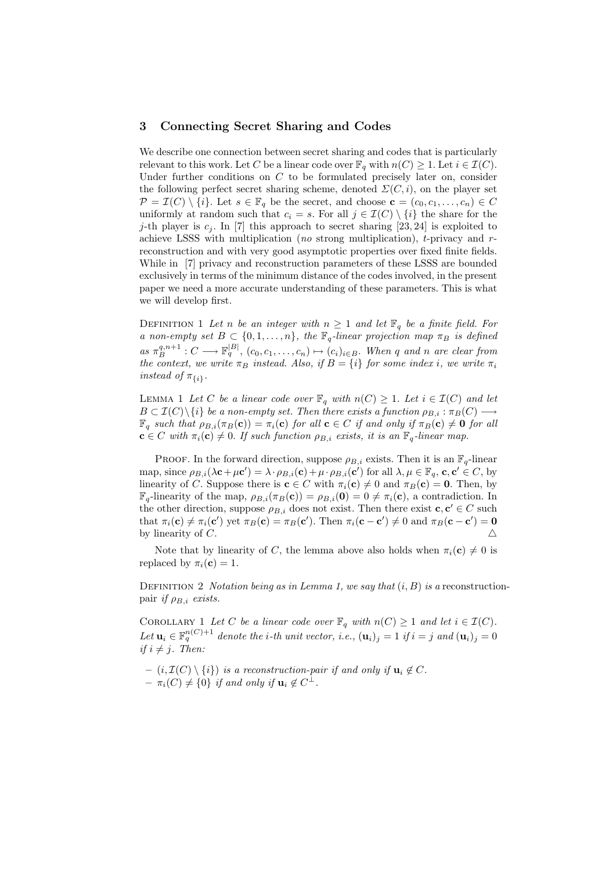# 3 Connecting Secret Sharing and Codes

We describe one connection between secret sharing and codes that is particularly relevant to this work. Let C be a linear code over  $\mathbb{F}_q$  with  $n(C) \geq 1$ . Let  $i \in \mathcal{I}(C)$ . Under further conditions on  $C$  to be formulated precisely later on, consider the following perfect secret sharing scheme, denoted  $\Sigma(C, i)$ , on the player set  $\mathcal{P} = \mathcal{I}(C) \setminus \{i\}$ . Let  $s \in \mathbb{F}_q$  be the secret, and choose  $\mathbf{c} = (c_0, c_1, \ldots, c_n) \in C$ uniformly at random such that  $c_i = s$ . For all  $j \in \mathcal{I}(C) \setminus \{i\}$  the share for the j-th player is  $c_j$ . In [7] this approach to secret sharing [23, 24] is exploited to achieve LSSS with multiplication (no strong multiplication), t-privacy and rreconstruction and with very good asymptotic properties over fixed finite fields. While in [7] privacy and reconstruction parameters of these LSSS are bounded exclusively in terms of the minimum distance of the codes involved, in the present paper we need a more accurate understanding of these parameters. This is what we will develop first.

DEFINITION 1 Let n be an integer with  $n \geq 1$  and let  $\mathbb{F}_q$  be a finite field. For a non-empty set  $B \subset \{0, 1, ..., n\}$ , the  $\mathbb{F}_q$ -linear projection map  $\pi_B$  is defined as  $\pi_B^{q,n+1}: C \longrightarrow \mathbb{F}_q^{|B|}, (c_0, c_1, \ldots, c_n) \mapsto (c_i)_{i \in B}$ . When q and n are clear from the context, we write  $\pi_B$  instead. Also, if  $B = \{i\}$  for some index i, we write  $\pi_i$ instead of  $\pi_{\{i\}}$ .

LEMMA 1 Let C be a linear code over  $\mathbb{F}_q$  with  $n(C) \geq 1$ . Let  $i \in \mathcal{I}(C)$  and let  $B \subset \mathcal{I}(C) \setminus \{i\}$  be a non-empty set. Then there exists a function  $\rho_{B,i} : \pi_B(C) \longrightarrow$  $\mathbb{F}_q$  such that  $\rho_{B,i}(\pi_B(c)) = \pi_i(c)$  for all  $c \in C$  if and only if  $\pi_B(c) \neq 0$  for all  $\mathbf{c} \in C$  with  $\pi_i(\mathbf{c}) \neq 0$ . If such function  $\rho_{B,i}$  exists, it is an  $\mathbb{F}_q$ -linear map.

PROOF. In the forward direction, suppose  $\rho_{B,i}$  exists. Then it is an  $\mathbb{F}_q$ -linear map, since  $\rho_{B,i}(\lambda \mathbf{c} + \mu \mathbf{c}') = \lambda \cdot \rho_{B,i}(\mathbf{c}) + \mu \cdot \rho_{B,i}(\mathbf{c}')$  for all  $\lambda, \mu \in \mathbb{F}_q$ ,  $\mathbf{c}, \mathbf{c}' \in C$ , by linearity of C. Suppose there is  $\mathbf{c} \in C$  with  $\pi_i(\mathbf{c}) \neq 0$  and  $\pi_B(\mathbf{c}) = \mathbf{0}$ . Then, by  $\mathbb{F}_q$ -linearity of the map,  $\rho_{B,i}(\pi_B(\mathbf{c})) = \rho_{B,i}(\mathbf{0}) = 0 \neq \pi_i(\mathbf{c})$ , a contradiction. In the other direction, suppose  $\rho_{B,i}$  does not exist. Then there exist  $c, c' \in C$  such that  $\pi_i(\mathbf{c}) \neq \pi_i(\mathbf{c}')$  yet  $\pi_B(\mathbf{c}) = \pi_B(\mathbf{c}')$ . Then  $\pi_i(\mathbf{c} - \mathbf{c}') \neq 0$  and  $\pi_B(\mathbf{c} - \mathbf{c}') = \mathbf{0}$ by linearity of C.  $\triangle$ 

Note that by linearity of C, the lemma above also holds when  $\pi_i(\mathbf{c}) \neq 0$  is replaced by  $\pi_i(\mathbf{c}) = 1$ .

DEFINITION 2 *Notation being as in Lemma 1, we say that*  $(i, B)$  is a reconstructionpair if  $\rho_{B,i}$  exists.

COROLLARY 1 Let C be a linear code over  $\mathbb{F}_q$  with  $n(C) \geq 1$  and let  $i \in \mathcal{I}(C)$ . Let  $\mathbf{u}_i \in \mathbb{F}_q^{n(C)+1}$  denote the *i*-th unit vector, *i.e.*,  $(\mathbf{u}_i)_j = 1$  if  $i = j$  and  $(\mathbf{u}_i)_j = 0$ if  $i \neq j$ . Then:

- $(i, \mathcal{I}(C) \setminus \{i\})$  is a reconstruction-pair if and only if  $\mathbf{u}_i \notin C$ .
- $\pi_i(C) \neq \{0\}$  if and only if  $\mathbf{u}_i \not\in C^{\perp}$ .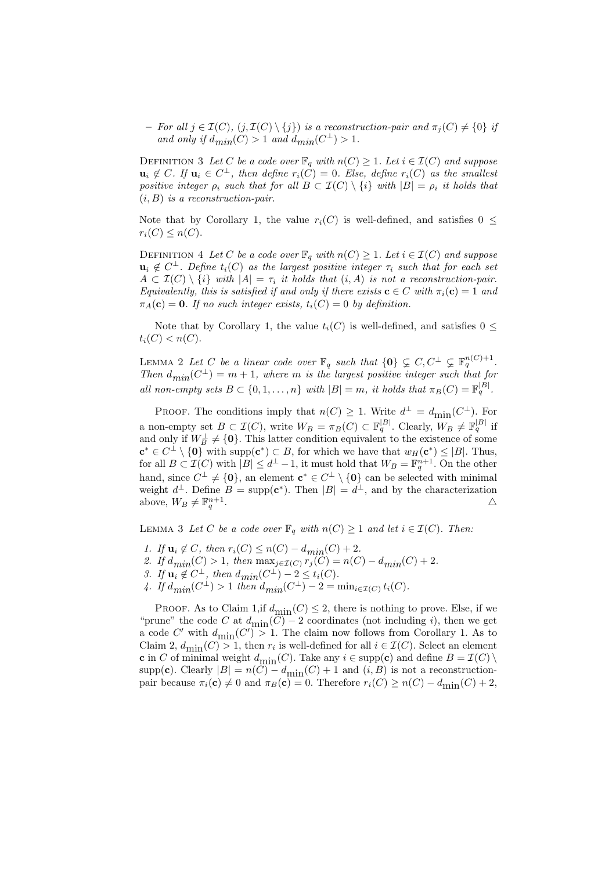– For all  $j \in \mathcal{I}(C)$ ,  $(j,\mathcal{I}(C) \setminus \{j\})$  is a reconstruction-pair and  $\pi_j(C) \neq \{0\}$  if and only if  $d_{min}(C) > 1$  and  $d_{min}(C^{\perp}) > 1$ .

DEFINITION 3 Let C be a code over  $\mathbb{F}_q$  with  $n(C) \geq 1$ . Let  $i \in \mathcal{I}(C)$  and suppose  $\mathbf{u}_i \notin C$ . If  $\mathbf{u}_i \in C^{\perp}$ , then define  $r_i(\tilde{C}) = 0$ . Else, define  $r_i(C)$  as the smallest positive integer  $\rho_i$  such that for all  $B \subset \mathcal{I}(C) \setminus \{i\}$  with  $|B| = \rho_i$  it holds that  $(i, B)$  is a reconstruction-pair.

Note that by Corollary 1, the value  $r_i(C)$  is well-defined, and satisfies  $0 \leq$  $r_i(C) \leq n(C)$ .

DEFINITION 4 Let C be a code over  $\mathbb{F}_q$  with  $n(C) \geq 1$ . Let  $i \in \mathcal{I}(C)$  and suppose  $\mathbf{u}_i \notin C^{\perp}$ . Define  $t_i(C)$  as the largest positive integer  $\tau_i$  such that for each set  $A \subset \mathcal{I}(C) \setminus \{i\}$  with  $|A| = \tau_i$  it holds that  $(i, A)$  is not a reconstruction-pair. Equivalently, this is satisfied if and only if there exists  $\mathbf{c} \in C$  with  $\pi_i(\mathbf{c}) = 1$  and  $\pi_A(c) = 0$ . If no such integer exists,  $t_i(C) = 0$  by definition.

Note that by Corollary 1, the value  $t_i(C)$  is well-defined, and satisfies  $0 \leq$  $t_i(C) < n(C)$ .

LEMMA 2 Let C be a linear code over  $\mathbb{F}_q$  such that  $\{0\} \subsetneq C, C^{\perp} \subsetneq \mathbb{F}_q^{n(C)+1}$ . Then  $d_{min}(C^{\perp}) = m + 1$ , where m is the largest positive integer such that for all non-empty sets  $B \subset \{0, 1, \ldots, n\}$  with  $|B| = m$ , it holds that  $\pi_B(C) = \mathbb{F}_q^{|B|}$ .

PROOF. The conditions imply that  $n(C) \geq 1$ . Write  $d^{\perp} = d_{\text{min}}(C^{\perp})$ . For a non-empty set  $B \subset \mathcal{I}(C)$ , write  $W_B = \pi_B(C) \subset \mathbb{F}_q^{|B|}$ . Clearly,  $W_B \neq \mathbb{F}_q^{|B|}$  if and only if  $W_B^{\perp} \neq \{0\}$ . This latter condition equivalent to the existence of some  $\mathbf{c}^* \in C^{\perp} \setminus \{\mathbf{0}\}\$  with supp $(\mathbf{c}^*) \subset B$ , for which we have that  $w_H(\mathbf{c}^*) \leq |B|$ . Thus, for all  $B \subset \mathcal{I}(C)$  with  $|B| \leq d^{\perp} - 1$ , it must hold that  $W_B = \mathbb{F}_q^{n+1}$ . On the other hand, since  $C^{\perp} \neq \{0\}$ , an element  $\mathbf{c}^* \in C^{\perp} \setminus \{0\}$  can be selected with minimal weight  $d^{\perp}$ . Define  $B = \text{supp}(\mathbf{c}^*)$ . Then  $|B| = d^{\perp}$ , and by the characterization above,  $W_B \neq \mathbb{F}_q^{n+1}$ . And the contract of the contract of  $\Delta$ 

LEMMA 3 Let C be a code over  $\mathbb{F}_q$  with  $n(C) \geq 1$  and let  $i \in \mathcal{I}(C)$ . Then:

- 1. If  $u_i \notin C$ , then  $r_i(C) \leq n(C) d_{min}(C) + 2$ . 2. If  $d_{min}(C) > 1$ , then  $\max_{j \in \mathcal{I}(C)} r_j(C) = n(C) - d_{min}(C) + 2$ .
- 3. If  $\mathbf{u}_i \notin C^{\perp}$ , then  $d_{min}(C^{\perp}) 2 \leq t_i(C)$ .
- 4. If  $d_{min}(C^{\perp}) > 1$  then  $d_{min}(C^{\perp}) 2 = \min_{i \in \mathcal{I}(C)} t_i(C)$ .

PROOF. As to Claim 1, if  $d_{\text{min}}(C) \leq 2$ , there is nothing to prove. Else, if we "prune" the code C at  $d_{\text{min}}(C) - 2$  coordinates (not including i), then we get a code C' with  $d_{\text{min}}(C') > 1$ . The claim now follows from Corollary 1. As to Claim 2,  $d_{\text{min}}(C) > 1$ , then  $r_i$  is well-defined for all  $i \in \mathcal{I}(C)$ . Select an element **c** in C of minimal weight  $d_{\text{min}}(C)$ . Take any  $i \in \text{supp}(\mathbf{c})$  and define  $B = \mathcal{I}(C) \setminus \mathcal{I}$ supp(c). Clearly  $|B| = n(C) - d_{\text{min}}(C) + 1$  and  $(i, B)$  is not a reconstructionpair because  $\pi_i(\mathbf{c}) \neq 0$  and  $\pi_B(\mathbf{c}) = 0$ . Therefore  $r_i(C) \geq n(C) - d_{\text{min}}(C) + 2$ ,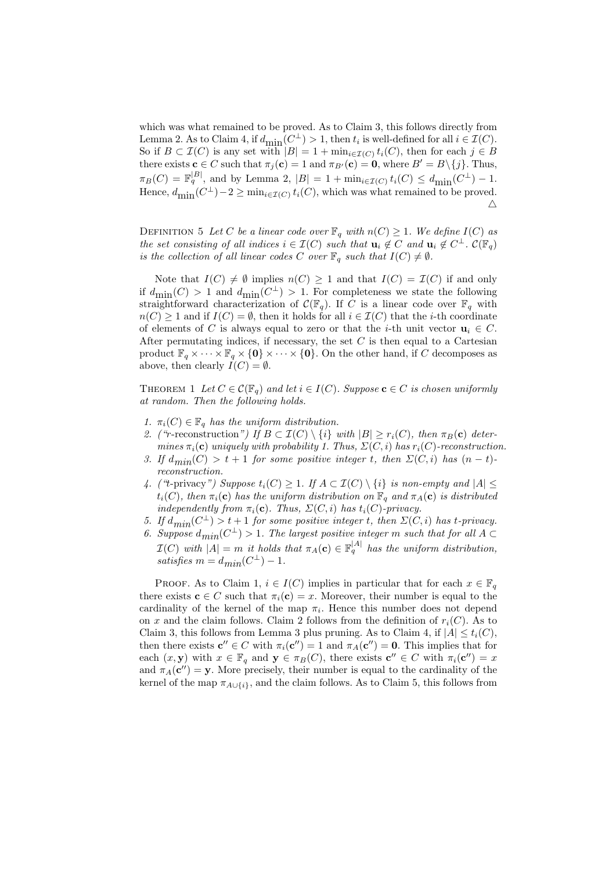which was what remained to be proved. As to Claim 3, this follows directly from Lemma 2. As to Claim 4, if  $d_{\text{min}}(C^{\perp}) > 1$ , then  $t_i$  is well-defined for all  $i \in \mathcal{I}(C)$ . So if  $B \subset \mathcal{I}(C)$  is any set with  $|B| = 1 + \min_{i \in \mathcal{I}(C)} t_i(C)$ , then for each  $j \in B$ there exists  $\mathbf{c} \in C$  such that  $\pi_i(\mathbf{c}) = 1$  and  $\pi_{B'}(\mathbf{c}) = \mathbf{0}$ , where  $B' = B \setminus \{j\}$ . Thus,  $\pi_B(C) = \mathbb{F}_q^{|B|}$ , and by Lemma 2,  $|B| = 1 + \min_{i \in \mathcal{I}(C)} t_i(C) \leq d_{\text{min}}(C^{\perp}) - 1$ . Hence,  $d_{\text{min}}(C^{\perp}) - 2 \ge \min_{i \in \mathcal{I}(C)} t_i(C)$ , which was what remained to be proved.  $\triangle$ 

DEFINITION 5 Let C be a linear code over  $\mathbb{F}_q$  with  $n(C) \geq 1$ . We define  $I(C)$  as the set consisting of all indices  $i \in \mathcal{I}(C)$  such that  $\mathbf{u}_i \notin C$  and  $\mathbf{u}_i \notin C^{\perp}$ .  $\mathcal{C}(\mathbb{F}_q)$ is the collection of all linear codes C over  $\mathbb{F}_q$  such that  $I(C) \neq \emptyset$ .

Note that  $I(C) \neq \emptyset$  implies  $n(C) \geq 1$  and that  $I(C) = \mathcal{I}(C)$  if and only if  $d_{\text{min}}(C) > 1$  and  $d_{\text{min}}(C^{\perp}) > 1$ . For completeness we state the following straightforward characterization of  $\mathcal{C}(\mathbb{F}_q)$ . If C is a linear code over  $\mathbb{F}_q$  with  $n(C) > 1$  and if  $I(C) = \emptyset$ , then it holds for all  $i \in \mathcal{I}(C)$  that the *i*-th coordinate of elements of C is always equal to zero or that the *i*-th unit vector  $\mathbf{u}_i \in C$ . After permutating indices, if necessary, the set  $C$  is then equal to a Cartesian product  $\mathbb{F}_q \times \cdots \times \mathbb{F}_q \times \{0\} \times \cdots \times \{0\}$ . On the other hand, if C decomposes as above, then clearly  $I(C) = \emptyset$ .

THEOREM 1 Let  $C \in \mathcal{C}(\mathbb{F}_q)$  and let  $i \in I(C)$ . Suppose  $\mathbf{c} \in C$  is chosen uniformly at random. Then the following holds.

- 1.  $\pi_i(C) \in \mathbb{F}_q$  has the uniform distribution.
- 2. ("r-reconstruction") If  $B \subset \mathcal{I}(C) \setminus \{i\}$  with  $|B| \geq r_i(C)$ , then  $\pi_B(c)$  determines  $\pi_i(c)$  uniquely with probability 1. Thus,  $\Sigma(C, i)$  has  $r_i(C)$ -reconstruction.
- 3. If  $d_{min}(C) > t + 1$  for some positive integer t, then  $\Sigma(C, i)$  has  $(n t)$ reconstruction.
- 4. ("t-privacy") Suppose  $t_i(C) \geq 1$ . If  $A \subset \mathcal{I}(C) \setminus \{i\}$  is non-empty and  $|A| \leq$  $t_i(C)$ , then  $\pi_i(c)$  has the uniform distribution on  $\mathbb{F}_q$  and  $\pi_A(c)$  is distributed independently from  $\pi_i(\mathbf{c})$ . Thus,  $\Sigma(C, i)$  has  $t_i(C)$ -privacy.
- 5. If  $d_{min}(C^{\perp}) > t + 1$  for some positive integer t, then  $\Sigma(C, i)$  has t-privacy.
- 6. Suppose  $d_{min}(C^{\perp}) > 1$ . The largest positive integer m such that for all  $A \subset$  $\mathcal{I}(C)$  with  $|A| = m$  it holds that  $\pi_A(c) \in \mathbb{F}_q^{|A|}$  has the uniform distribution, satisfies  $m = d_{min}(C^{\perp}) - 1$ .

PROOF. As to Claim 1,  $i \in I(C)$  implies in particular that for each  $x \in \mathbb{F}_q$ there exists  $\mathbf{c} \in C$  such that  $\pi_i(\mathbf{c}) = x$ . Moreover, their number is equal to the cardinality of the kernel of the map  $\pi_i$ . Hence this number does not depend on x and the claim follows. Claim 2 follows from the definition of  $r_i(C)$ . As to Claim 3, this follows from Lemma 3 plus pruning. As to Claim 4, if  $|A| \le t_i(C)$ , then there exists  $c'' \in C$  with  $\pi_i(c'') = 1$  and  $\pi_A(c'') = 0$ . This implies that for each  $(x, y)$  with  $x \in \mathbb{F}_q$  and  $y \in \pi_B(C)$ , there exists  $c'' \in C$  with  $\pi_i(c'') = x$ and  $\pi_A(\mathbf{c}^{\prime\prime}) = \mathbf{y}$ . More precisely, their number is equal to the cardinality of the kernel of the map  $\pi_{A\cup\{i\}}$ , and the claim follows. As to Claim 5, this follows from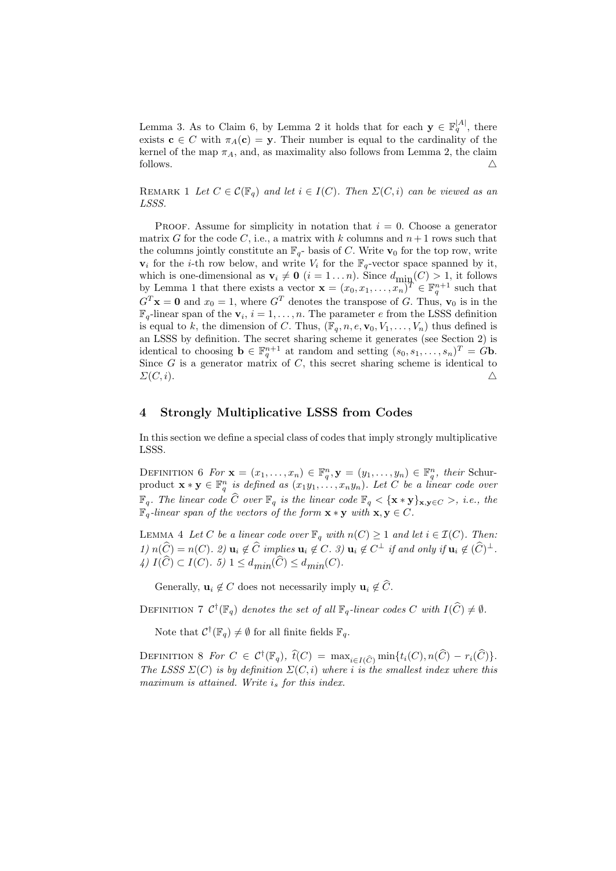Lemma 3. As to Claim 6, by Lemma 2 it holds that for each  $\mathbf{y} \in \mathbb{F}_q^{|A|}$ , there exists  $c \in C$  with  $\pi_A(c) = y$ . Their number is equal to the cardinality of the kernel of the map  $\pi_A$ , and, as maximality also follows from Lemma 2, the claim follows.  $\triangle$ 

REMARK 1 Let  $C \in \mathcal{C}(\mathbb{F}_q)$  and let  $i \in I(C)$ . Then  $\Sigma(C, i)$  can be viewed as an LSSS.

PROOF. Assume for simplicity in notation that  $i = 0$ . Choose a generator matrix G for the code C, i.e., a matrix with k columns and  $n+1$  rows such that the columns jointly constitute an  $\mathbb{F}_q$ - basis of C. Write  $\mathbf{v}_0$  for the top row, write  $v_i$  for the *i*-th row below, and write  $V_i$  for the  $\mathbb{F}_q$ -vector space spanned by it, which is one-dimensional as  $\mathbf{v}_i \neq \mathbf{0}$   $(i = 1 ... n)$ . Since  $d_{\text{min}}(C) > 1$ , it follows by Lemma 1 that there exists a vector  $\mathbf{x} = (x_0, x_1, \ldots, x_n)^T \in \mathbb{F}_q^{n+1}$  such that  $G<sup>T</sup>$ **x** = 0 and  $x_0 = 1$ , where  $G<sup>T</sup>$  denotes the transpose of G. Thus,  $\mathbf{v}_0$  is in the  $\mathbb{F}_q$ -linear span of the  $\mathbf{v}_i$ ,  $i = 1, \ldots, n$ . The parameter e from the LSSS definition is equal to k, the dimension of C. Thus,  $(\mathbb{F}_q, n, e, \mathbf{v}_0, V_1, \ldots, V_n)$  thus defined is an LSSS by definition. The secret sharing scheme it generates (see Section 2) is identical to choosing  $\mathbf{b} \in \mathbb{F}_q^{n+1}$  at random and setting  $(s_0, s_1, \ldots, s_n)^T = G\mathbf{b}$ . Since  $G$  is a generator matrix of  $C$ , this secret sharing scheme is identical to  $\Sigma(C, i)$ .

# 4 Strongly Multiplicative LSSS from Codes

In this section we define a special class of codes that imply strongly multiplicative LSSS.

DEFINITION 6 For  $\mathbf{x} = (x_1, \ldots, x_n) \in \mathbb{F}_q^n, \mathbf{y} = (y_1, \ldots, y_n) \in \mathbb{F}_q^n$ , their Schurproduct  $\mathbf{x} * \mathbf{y} \in \mathbb{F}_q^n$  is defined as  $(x_1y_1, \ldots, x_ny_n)$ . Let C be a linear code over  $\mathbb{F}_q$ . The linear code  $\widehat{C}$  over  $\mathbb{F}_q$  is the linear code  $\mathbb{F}_q < {\mathbf{x} * \mathbf{y}}_{\mathbf{x},\mathbf{y} \in C} >$ , i.e., the  $\mathbb{F}_q$ -linear span of the vectors of the form  $\mathbf{x} * \mathbf{y}$  with  $\mathbf{x}, \mathbf{y} \in C$ .

LEMMA 4 Let C be a linear code over  $\mathbb{F}_q$  with  $n(C) \geq 1$  and let  $i \in \mathcal{I}(C)$ . Then:  $1) n(\widehat{C}) = n(C)$ . 2)  $\mathbf{u}_i \notin \widehat{C}$  implies  $\mathbf{u}_i \notin C$ . 3)  $\mathbf{u}_i \notin C^{\perp}$  if and only if  $\mathbf{u}_i \notin (\widehat{C})^{\perp}$ . 4)  $I(\widehat{C}) \subset I(C)$ . 5)  $1 \leq d_{min}(\widehat{C}) \leq d_{min}(C)$ .

Generally,  $\mathbf{u}_i \notin C$  does not necessarily imply  $\mathbf{u}_i \notin \widehat{C}$ .

DEFINITION 7  $\mathcal{C}^{\dagger}(\mathbb{F}_q)$  denotes the set of all  $\mathbb{F}_q$ -linear codes C with  $I(\widehat{C}) \neq \emptyset$ .

Note that  $\mathcal{C}^{\dagger}(\mathbb{F}_q) \neq \emptyset$  for all finite fields  $\mathbb{F}_q$ .

DEFINITION 8 For  $C \in C^{\dagger}(\mathbb{F}_q)$ ,  $\widehat{t}(C) = \max_{i \in I(\widehat{C})} \min\{t_i(C), n(\widehat{C}) - r_i(\widehat{C})\}.$ The LSSS  $\Sigma(C)$  is by definition  $\Sigma(C, i)$  where i is the smallest index where this maximum is attained. Write  $i_s$  for this index.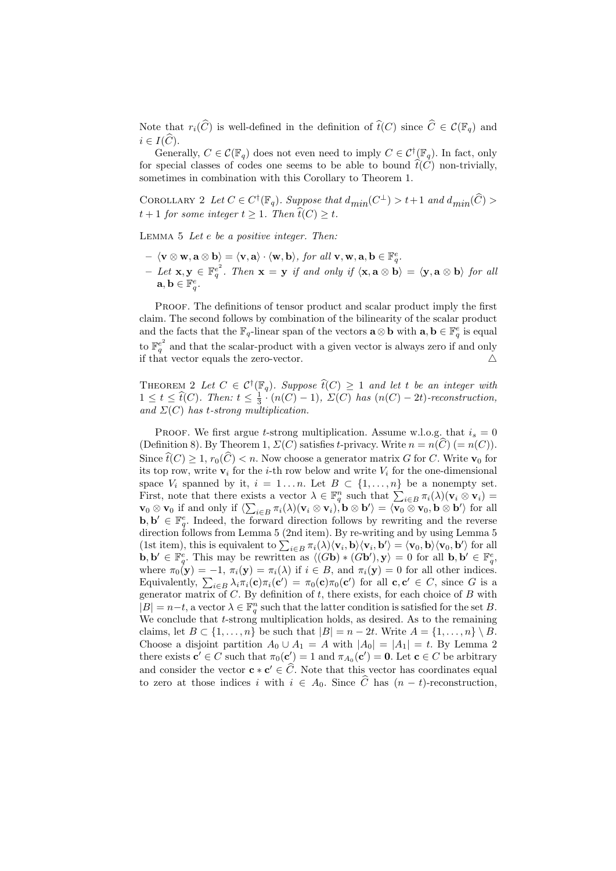Note that  $r_i(\widehat{C})$  is well-defined in the definition of  $\widehat{t}(C)$  since  $\widehat{C} \in \mathcal{C}(\mathbb{F}_q)$  and  $i \in I(\widehat{C}).$ 

Generally,  $C \in \mathcal{C}(\mathbb{F}_q)$  does not even need to imply  $C \in \mathcal{C}^{\dagger}(\mathbb{F}_q)$ . In fact, only for special classes of codes one seems to be able to bound  $\hat{t}(C)$  non-trivially, sometimes in combination with this Corollary to Theorem 1.

COROLLARY 2 Let  $C \in C^{\dagger}(\mathbb{F}_q)$ . Suppose that  $d_{min}(C^{\perp}) > t+1$  and  $d_{min}(\widehat{C}) >$  $t+1$  for some integer  $t \geq 1$ . Then  $\widehat{t}(C) \geq t$ .

Lemma 5 Let e be a positive integer. Then:

- $\langle v \otimes w, a \otimes b \rangle = \langle v, a \rangle \cdot \langle w, b \rangle$ , for all  $v, w, a, b \in \mathbb{F}_q^e$ .
- $\begin{aligned} \n\begin{aligned} &\text{(} \nabla \otimes \mathbf{w}, \mathbf{a} \otimes \mathbf{b}) = (\mathbf{v}, \mathbf{a}) \cdot (\mathbf{w}, \mathbf{b}) \text{, for all } \mathbf{v}, \mathbf{w}, \mathbf{a}, \mathbf{b} \in \mathbb{F}_q. \\ &\text{(} \nabla \otimes \mathbf{w}, \mathbf{b} \in \mathbb{F}_q^e \text{. Then } \mathbf{x} = \mathbf{y} \text{ if and only if } \langle \mathbf{x}, \mathbf{a} \otimes \mathbf{b} \rangle = \langle \mathbf{y}, \mathbf{a} \otimes \mathbf$  $\mathbf{a}, \mathbf{b} \in \mathbb{F}_q^e$ .

PROOF. The definitions of tensor product and scalar product imply the first claim. The second follows by combination of the bilinearity of the scalar product and the facts that the  $\mathbb{F}_q$ -linear span of the vectors  $\mathbf{a} \otimes \mathbf{b}$  with  $\mathbf{a}, \mathbf{b} \in \mathbb{F}_q^e$  is equal to  $\mathbb{F}_q^{e^2}$  and that the scalar-product with a given vector is always zero if and only if that vector equals the zero-vector.  $\triangle$ 

THEOREM 2 Let  $C \in C^{\dagger}(\mathbb{F}_q)$ . Suppose  $\widehat{t}(C) \geq 1$  and let t be an integer with  $1 \leq t \leq \hat{t}(C)$ . Then:  $t \leq \frac{1}{3} \cdot (n(C) - 1)$ ,  $\Sigma(C)$  has  $(n(C) - 2t)$ -reconstruction, and  $\Sigma(C)$  has t-strong multiplication.

PROOF. We first argue t-strong multiplication. Assume w.l.o.g. that  $i_s = 0$ (Definition 8). By Theorem 1,  $\Sigma(C)$  satisfies t-privacy. Write  $n = n(\widehat{C})$  (=  $n(C)$ ). Since  $\widehat{t}(C) \geq 1$ ,  $r_0(\widehat{C}) < n$ . Now choose a generator matrix G for C. Write  $\mathbf{v}_0$  for its top row, write  $v_i$  for the *i*-th row below and write  $V_i$  for the one-dimensional space  $V_i$  spanned by it,  $i = 1...n$ . Let  $B \subset \{1,...,n\}$  be a nonempty set. First, note that there exists a vector  $\lambda \in \mathbb{F}_q^n$  such that  $\sum_{i \in B} \pi_i(\lambda)(\mathbf{v}_i \otimes \mathbf{v}_i) =$  $\mathbf{v}_0 \otimes \mathbf{v}_0$  if and only if  $\langle \sum_{i \in B} \pi_i(\lambda) (\mathbf{v}_i \otimes \mathbf{v}_i), \mathbf{b} \otimes \mathbf{b}' \rangle = \langle \mathbf{v}_0 \otimes \mathbf{v}_0, \mathbf{b} \otimes \mathbf{b}' \rangle$  for all  $\mathbf{b}, \mathbf{b}' \in \mathbb{F}_q^e$ . Indeed, the forward direction follows by rewriting and the reverse direction follows from Lemma 5 (2nd item). By re-writing and by using Lemma 5 (1st item), this is equivalent to  $\sum_{i \in B} \pi_i(\lambda) \langle \mathbf{v}_i, \mathbf{b} \rangle \langle \mathbf{v}_i, \mathbf{b}' \rangle = \langle \mathbf{v}_0, \mathbf{b} \rangle \langle \mathbf{v}_0, \mathbf{b}' \rangle$  for all  $\mathbf{b}, \mathbf{b}' \in \mathbb{F}_q^e$ . This may be rewritten as  $\langle (\mathbf{G}\mathbf{b}) * (\mathbf{G}\mathbf{b}'), \mathbf{y} \rangle = 0$  for all  $\mathbf{b}, \mathbf{b}' \in \mathbb{F}_q^e$ . where  $\pi_0(\mathbf{y}) = -1$ ,  $\pi_i(\mathbf{y}) = \pi_i(\lambda)$  if  $i \in B$ , and  $\pi_i(\mathbf{y}) = 0$  for all other indices. Equivalently,  $\sum_{i\in B}\lambda_i\pi_i(\mathbf{c})\pi_i(\mathbf{c}') = \pi_0(\mathbf{c})\pi_0(\mathbf{c}')$  for all  $\mathbf{c}, \mathbf{c}' \in C$ , since G is a generator matrix of  $C$ . By definition of  $t$ , there exists, for each choice of  $B$  with  $|B| = n-t$ , a vector  $\lambda \in \mathbb{F}_q^n$  such that the latter condition is satisfied for the set B. We conclude that t-strong multiplication holds, as desired. As to the remaining claims, let  $B \subset \{1, \ldots, n\}$  be such that  $|B| = n - 2t$ . Write  $A = \{1, \ldots, n\} \setminus B$ . Choose a disjoint partition  $A_0 \cup A_1 = A$  with  $|A_0| = |A_1| = t$ . By Lemma 2 there exists  $\mathbf{c}' \in C$  such that  $\pi_0(\mathbf{c}') = 1$  and  $\pi_{A_0}(\mathbf{c}') = \mathbf{0}$ . Let  $\mathbf{c} \in C$  be arbitrary and consider the vector  $\mathbf{c} * \mathbf{c}' \in \widehat{C}$ . Note that this vector has coordinates equal to zero at those indices i with  $i \in A_0$ . Since  $\hat{C}$  has  $(n - t)$ -reconstruction,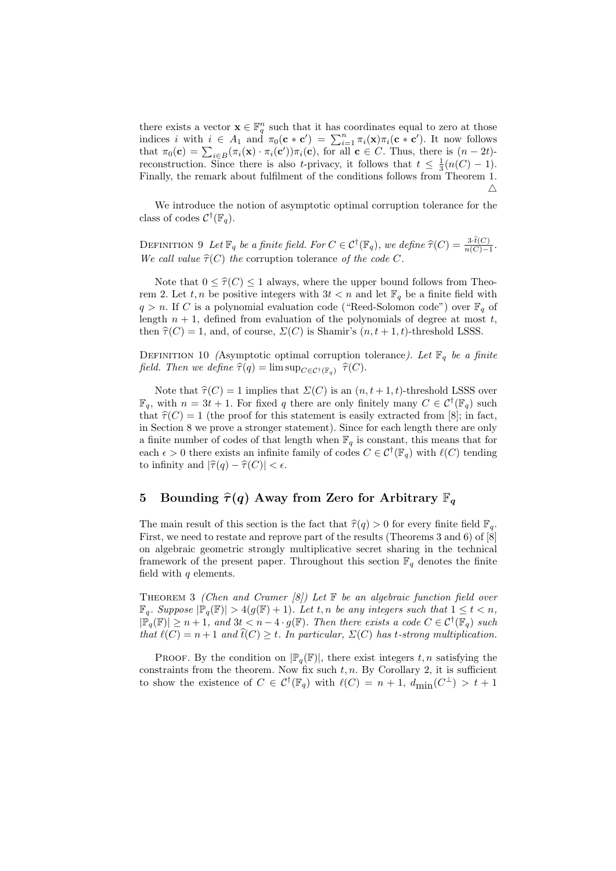there exists a vector  $\mathbf{x} \in \mathbb{F}_q^n$  such that it has coordinates equal to zero at those indices i with  $i \in A_1$  and  $\pi_0(\mathbf{c} * \mathbf{c}') = \sum_{i=1}^n \pi_i(\mathbf{x}) \pi_i(\mathbf{c} * \mathbf{c}')$ . It now follows that  $\pi_0(\mathbf{c}) = \sum_{i \in B} (\pi_i(\mathbf{x}) \cdot \pi_i(\mathbf{c}')) \pi_i(\mathbf{c})$ , for all  $\mathbf{c} \in C$ . Thus, there is  $(n - 2t)$ reconstruction. Since there is also t-privacy, it follows that  $t \leq \frac{1}{3}(n(C) - 1)$ . Finally, the remark about fulfilment of the conditions follows from Theorem 1.  $\triangle$ 

We introduce the notion of asymptotic optimal corruption tolerance for the class of codes  $\mathcal{C}^{\dagger}(\mathbb{F}_q)$ .

DEFINITION 9 Let  $\mathbb{F}_q$  be a finite field. For  $C \in \mathcal{C}^{\dagger}(\mathbb{F}_q)$ , we define  $\widehat{\tau}(C) = \frac{3 \cdot t(C)}{n(C)-1}$ . We call value  $\hat{\tau}(C)$  the corruption tolerance of the code C.

Note that  $0 \leq \hat{\tau}(C) \leq 1$  always, where the upper bound follows from Theorem 2. Let  $t, n$  be positive integers with  $3t < n$  and let  $\mathbb{F}_q$  be a finite field with  $q > n$ . If C is a polynomial evaluation code ("Reed-Solomon code") over  $\mathbb{F}_q$  of length  $n + 1$ , defined from evaluation of the polynomials of degree at most t, then  $\hat{\tau}(C) = 1$ , and, of course,  $\Sigma(C)$  is Shamir's  $(n, t + 1, t)$ -threshold LSSS.

DEFINITION 10 (Asymptotic optimal corruption tolerance). Let  $\mathbb{F}_q$  be a finite field. Then we define  $\widehat{\tau}(q) = \limsup_{C \in \mathcal{C}^{\dagger}(\mathbb{F}_q)} \widehat{\tau}(C)$ .

Note that  $\hat{\tau}(C) = 1$  implies that  $\Sigma(C)$  is an  $(n, t + 1, t)$ -threshold LSSS over  $\mathbb{F}_q$ , with  $n = 3t + 1$ . For fixed q there are only finitely many  $C \in \mathcal{C}^{\dagger}(\mathbb{F}_q)$  such that  $\hat{\tau}(C) = 1$  (the proof for this statement is easily extracted from [8]; in fact, in Section 8 we prove a stronger statement). Since for each length there are only a finite number of codes of that length when  $\mathbb{F}_q$  is constant, this means that for each  $\epsilon > 0$  there exists an infinite family of codes  $C \in \mathcal{C}^{\dagger}(\mathbb{F}_q)$  with  $\ell(C)$  tending to infinity and  $|\hat{\tau}(q) - \hat{\tau}(C)| < \epsilon$ .

# 5 Bounding  $\hat{\tau}(q)$  Away from Zero for Arbitrary  $\mathbb{F}_q$

The main result of this section is the fact that  $\hat{\tau}(q) > 0$  for every finite field  $\mathbb{F}_q$ . First, we need to restate and reprove part of the results (Theorems 3 and 6) of [8] on algebraic geometric strongly multiplicative secret sharing in the technical framework of the present paper. Throughout this section  $\mathbb{F}_q$  denotes the finite field with  $q$  elements.

THEOREM 3 (Chen and Cramer [8]) Let  $\mathbb F$  be an algebraic function field over  $\mathbb{F}_q$ . Suppose  $|\mathbb{P}_q(\mathbb{F})| > 4(g(\mathbb{F}) + 1)$ . Let t, n be any integers such that  $1 \le t < n$ ,  $|\mathbb{P}_q(\mathbb{F})| \geq n+1$ , and  $3t < n-4 \cdot g(\mathbb{F})$ . Then there exists a code  $C \in \mathcal{C}^{\dagger}(\mathbb{F}_q)$  such that  $\ell(C) = n + 1$  and  $\hat{t}(C) \geq t$ . In particular,  $\Sigma(C)$  has t-strong multiplication.

PROOF. By the condition on  $\mathbb{P}_q(\mathbb{F})$ , there exist integers  $t, n$  satisfying the constraints from the theorem. Now fix such  $t, n$ . By Corollary 2, it is sufficient to show the existence of  $C \in C^{\dagger}(\mathbb{F}_q)$  with  $\ell(C) = n + 1$ ,  $d_{\min}(C^{\perp}) > t + 1$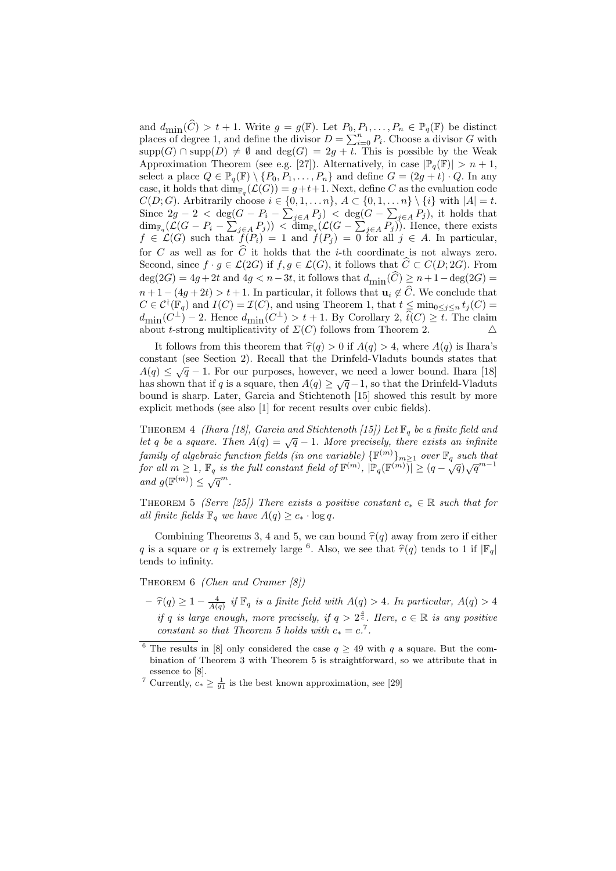and  $d_{\text{min}}(\widehat{C}) > t + 1$ . Write  $g = g(\mathbb{F})$ . Let  $P_0, P_1, \ldots, P_n \in \mathbb{P}_q(\mathbb{F})$  be distinct places of degree 1, and define the divisor  $D = \sum_{i=0}^n P_i$ . Choose a divisor  $G$  with  $supp(G) \cap supp(D) \neq \emptyset$  and  $deg(G) = 2g + t$ . This is possible by the Weak Approximation Theorem (see e.g. [27]). Alternatively, in case  $|\mathbb{P}_{q}(\mathbb{F})| > n+1$ , select a place  $Q \in \mathbb{P}_q(\mathbb{F}) \setminus \{P_0, P_1, \ldots, P_n\}$  and define  $G = (2g + t) \cdot Q$ . In any case, it holds that  $\dim_{\mathbb{F}_q}(\mathcal{L}(G)) = g + t + 1$ . Next, define C as the evaluation code  $C(D;G)$ . Arbitrarily choose  $i \in \{0,1,\ldots n\}$ ,  $A \subset \{0,1,\ldots n\} \setminus \{i\}$  with  $|A| = t$ . Since  $2g - 2 < \deg(G - P_i - \sum_{j \in A} P_j) < \deg(G - \sum_{j \in A} P_j)$ , it holds that  $\dim_{\mathbb{F}_q}(\mathcal{L}(G - P_i - \sum_{j \in A} P_j)) < \dim_{\mathbb{F}_q}(\mathcal{L}(G - \sum_{j \in A} P_j)).$  Hence, there exists  $f \in \mathcal{L}(G)$  such that  $f(P_i) = 1$  and  $f(P_j) = 0$  for all  $j \in A$ . In particular, for C as well as for  $\widehat{C}$  it holds that the *i*-th coordinate is not always zero. Second, since  $f \cdot g \in \mathcal{L}(2G)$  if  $f, g \in \mathcal{L}(G)$ , it follows that  $\widehat{C} \subset C(D; 2G)$ . From  $deg(2G) = 4g + 2t$  and  $4g < n-3t$ , it follows that  $d_{\text{min}}(\widehat{C}) \geq n+1-\deg(2G)$  $n+1-(4g+2t) > t+1$ . In particular, it follows that  $\mathbf{u}_i \notin \widehat{C}$ . We conclude that  $C \in \mathcal{C}^{\dagger}(\mathbb{F}_q)$  and  $I(C) = \mathcal{I}(C)$ , and using Theorem 1, that  $t \leq \min_{0 \leq j \leq n} t_j(C)$  $d_{\text{min}}(C^{\perp}) - 2$ . Hence  $d_{\text{min}}(C^{\perp}) > t + 1$ . By Corollary 2,  $\hat{t}(C) \geq \overline{t}$ . The claim about t-strong multiplicativity of  $\Sigma(C)$  follows from Theorem 2.  $\Delta$ 

It follows from this theorem that  $\hat{\tau}(q) > 0$  if  $A(q) > 4$ , where  $A(q)$  is Ihara's constant (see Section 2). Recall that the Drinfeld-Vladuts bounds states that A(q)  $\leq \sqrt{q} - 1$ . For our purposes, however, we need a lower bound. Ihara [18] has shown that if q is a square, then  $A(q) \ge \sqrt{q}-1$ , so that the Drinfeld-Vladuts bound is sharp. Later, Garcia and Stichtenoth [15] showed this result by more explicit methods (see also [1] for recent results over cubic fields).

THEOREM 4 (Ihara [18], Garcia and Stichtenoth [15]) Let  $\mathbb{F}_q$  be a finite field and let q be a square. Then  $A(q) = \sqrt{q} - 1$ . More precisely, there exists an infinite family of algebraic function fields (in one variable)  $\{\mathbb{F}^{(m)}\}_{m\geq 1}$  over  $\mathbb{F}_q$  such that for all  $m \geq 1$ ,  $\mathbb{F}_q$  is the full constant field of  $\mathbb{F}^{(m)}$ ,  $|\mathbb{P}_q(\mathbb{F}^{(m)})| \geq (q - \sqrt{q})\sqrt{q}^{m-1}$ and  $g(\mathbb{F}^{(m)}) \leq \sqrt{q}^m$ .

THEOREM 5 (Serre [25]) There exists a positive constant  $c_* \in \mathbb{R}$  such that for all finite fields  $\mathbb{F}_q$  we have  $A(q) \geq c_* \cdot \log q$ .

Combining Theorems 3, 4 and 5, we can bound  $\hat{\tau}(q)$  away from zero if either q is a square or q is extremely large <sup>6</sup>. Also, we see that  $\hat{\tau}(q)$  tends to 1 if  $|\mathbb{F}_q|$  tends to infinity tends to infinity.

THEOREM 6 (Chen and Cramer [8])

 $-\widehat{\tau}(q) \geq 1 - \frac{4}{A(q)}$  if  $\mathbb{F}_q$  is a finite field with  $A(q) > 4$ . In particular,  $A(q) > 4$ if q is large enough, more precisely, if  $q > 2^{\frac{4}{c}}$ . Here,  $c \in \mathbb{R}$  is any positive constant so that Theorem 5 holds with  $c_* = c$ .<sup>7</sup>.

<sup>&</sup>lt;sup>6</sup> The results in [8] only considered the case  $q \geq 49$  with q a square. But the combination of Theorem 3 with Theorem 5 is straightforward, so we attribute that in essence to [8].

<sup>&</sup>lt;sup>7</sup> Currently,  $c_* \geq \frac{1}{91}$  is the best known approximation, see [29]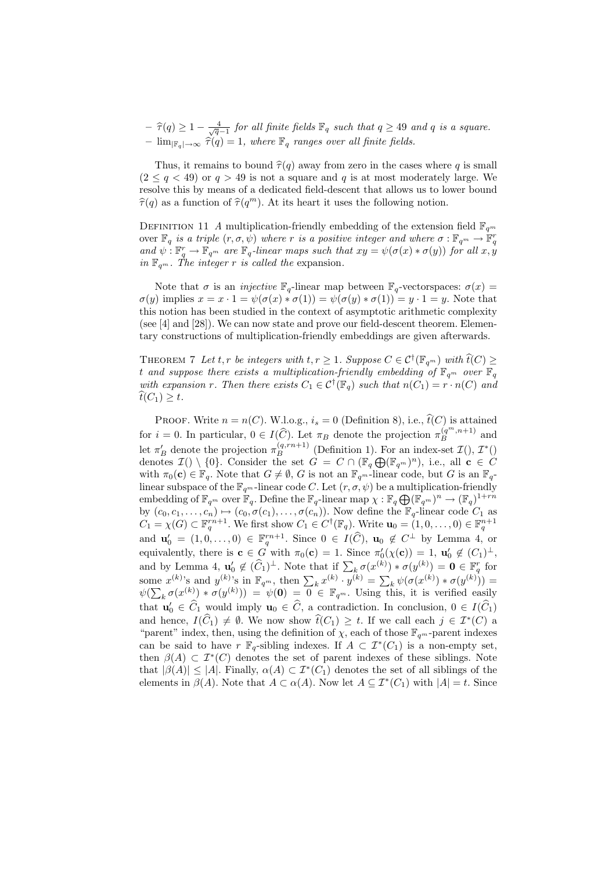$-\widehat{\tau}(q) \geq 1 - \frac{4}{\sqrt{q}-1}$  for all finite fields  $\mathbb{F}_q$  such that  $q \geq 49$  and q is a square. –  $\lim_{\mathbb{F}_a\to\infty} \hat{\tau}(q) = 1$ , where  $\mathbb{F}_q$  ranges over all finite fields.

Thus, it remains to bound  $\hat{\tau}(q)$  away from zero in the cases where q is small  $(2 \leq q \leq 49)$  or  $q > 49$  is not a square and q is at most moderately large. We resolve this by means of a dedicated field-descent that allows us to lower bound  $\widehat{\tau}(q)$  as a function of  $\widehat{\tau}(q^m)$ . At its heart it uses the following notion.

DEFINITION 11 A multiplication-friendly embedding of the extension field  $\mathbb{F}_{q^m}$ over  $\mathbb{F}_q$  is a triple  $(r,\sigma,\psi)$  where r is a positive integer and where  $\sigma:\mathbb{F}_{q^m}\to\mathbb{\mathring{F}}_q^r$ and  $\psi: \mathbb{F}_q^r \to \mathbb{F}_{q^m}$  are  $\mathbb{F}_q$ -linear maps such that  $xy = \psi(\sigma(x) * \sigma(y))$  for all  $x, y$ in  $\mathbb{F}_{q^m}$ . The integer r is called the expansion.

Note that  $\sigma$  is an *injective*  $\mathbb{F}_q$ -linear map between  $\mathbb{F}_q$ -vectorspaces:  $\sigma(x)$  =  $\sigma(y)$  implies  $x = x \cdot 1 = \psi(\sigma(x) * \sigma(1)) = \psi(\sigma(y) * \sigma(1)) = y \cdot 1 = y$ . Note that this notion has been studied in the context of asymptotic arithmetic complexity (see [4] and [28]). We can now state and prove our field-descent theorem. Elementary constructions of multiplication-friendly embeddings are given afterwards.

THEOREM 7 Let t, r be integers with  $t, r \geq 1$ . Suppose  $C \in C^{\dagger}(\mathbb{F}_{q^m})$  with  $\widehat{t}(C) \geq$ t and suppose there exists a multiplication-friendly embedding of  $\mathbb{F}_{q^m}$  over  $\mathbb{F}_q$ with expansion r. Then there exists  $C_1 \in \mathcal{C}^{\dagger}(\mathbb{F}_q)$  such that  $n(C_1) = r \cdot n(C)$  and  $t(C_1) \geq t$ .

PROOF. Write  $n = n(C)$ . W.l.o.g.,  $i_s = 0$  (Definition 8), i.e.,  $\hat{t}(C)$  is attained for  $i = 0$ . In particular,  $0 \in I(\widehat{C})$ . Let  $\pi_B$  denote the projection  $\pi_B^{(q^m, n+1)}$  and let  $\pi'_B$  denote the projection  $\pi_B^{(q, rn+1)}$  (Definition 1). For an index-set  $\mathcal{I}()$ ,  $\mathcal{I}^*()$ denotes  $\mathcal{I}() \setminus \{0\}$ . Consider the set  $G = C \cap (\mathbb{F}_q \bigoplus (\mathbb{F}_{q^m})^n)$ , i.e., all  $\mathbf{c} \in C$ with  $\pi_0(c) \in \mathbb{F}_q$ . Note that  $G \neq \emptyset$ , G is not an  $\mathbb{F}_{q^m}$ -linear code, but G is an  $\mathbb{F}_q$ linear subspace of the  $\mathbb{F}_{q^m}$ -linear code C. Let  $(r, \sigma, \psi)$  be a multiplication-friendly embedding of  $\mathbb{F}_{q^m}$  over  $\mathbb{F}_q$ . Define the  $\mathbb{F}_q$ -linear map  $\chi : \mathbb{F}_q \bigoplus (\mathbb{F}_{q^m})^n \to (\mathbb{F}_q)^{1+rn}$ by  $(c_0, c_1, \ldots, c_n) \mapsto (c_0, \sigma(c_1), \ldots, \sigma(c_n))$ . Now define the  $\mathbb{F}_q$ -linear code  $C_1$  as  $C_1 = \chi(G) \subset \mathbb{F}_q^{rn+1}$ . We first show  $C_1 \in C^{\dagger}(\mathbb{F}_q)$ . Write  $\mathbf{u}_0 = (1,0,\ldots,0) \in \mathbb{F}_q^{n+1}$ and  $\mathbf{u}'_0 = (1, 0, \dots, 0) \in \mathbb{F}_q^{rn+1}$ . Since  $0 \in I(\widehat{C}), \mathbf{u}_0 \notin C^{\perp}$  by Lemma 4, or equivalently, there is  $\mathbf{c} \in G$  with  $\pi_0(\mathbf{c}) = 1$ . Since  $\pi'_0(\chi(\mathbf{c})) = 1$ ,  $\mathbf{u}'_0 \notin (C_1)^{\perp}$ , and by Lemma 4,  $\mathbf{u}'_0 \notin (\widehat{C}_1)^{\perp}$ . Note that if  $\sum_k \sigma(x^{(k)}) * \sigma(y^{(k)}) = \mathbf{0} \in \mathbb{F}_q^r$  for some  $x^{(k)}$ 's and  $y^{(k)}$ 's in  $\mathbb{F}_{q^m}$ , then  $\sum_k x^{(k)} \cdot y^{(k)} = \sum_k \psi(\sigma(x^{(k)}) * \sigma(y^{(k)})) =$  $\psi(\sum_{k} \sigma(x^{(k)}) * \sigma(y^{(k)})) = \psi(\mathbf{0}) = \overline{0} \in \mathbb{F}_{q^m}$ . Using this, it is verified easily that  $\mathbf{u}'_0 \in \widehat{C}_1$  would imply  $\mathbf{u}_0 \in \widehat{C}$ , a contradiction. In conclusion,  $0 \in I(\widehat{C}_1)$ and hence,  $I(\hat{C}_1) \neq \emptyset$ . We now show  $\hat{t}(C_1) \geq t$ . If we call each  $j \in \mathcal{I}^*(C)$  a "parent" index, then, using the definition of  $\chi$ , each of those  $\mathbb{F}_{q^m}$ -parent indexes can be said to have r  $\mathbb{F}_q$ -sibling indexes. If  $A \subset \mathcal{I}^*(C_1)$  is a non-empty set, then  $\beta(A) \subset \mathcal{I}^*(C)$  denotes the set of parent indexes of these siblings. Note that  $|\beta(A)| \leq |A|$ . Finally,  $\alpha(A) \subset \mathcal{I}^*(C_1)$  denotes the set of all siblings of the elements in  $\beta(A)$ . Note that  $A \subset \alpha(A)$ . Now let  $A \subseteq \mathcal{I}^*(C_1)$  with  $|A| = t$ . Since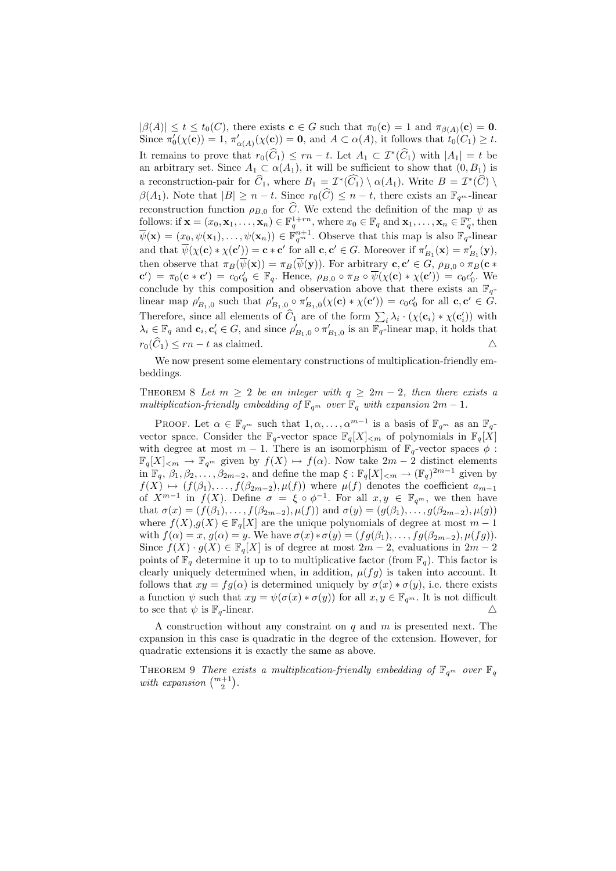$|\beta(A)| \leq t \leq t_0(C)$ , there exists  $\mathbf{c} \in G$  such that  $\pi_0(\mathbf{c}) = 1$  and  $\pi_{\beta(A)}(\mathbf{c}) = \mathbf{0}$ . Since  $\pi'_0(\chi(\mathbf{c})) = 1$ ,  $\pi'_{\alpha(A)}(\chi(\mathbf{c})) = \mathbf{0}$ , and  $A \subset \alpha(A)$ , it follows that  $t_0(C_1) \geq t$ . It remains to prove that  $r_0(\widehat{C}_1) \leq rn - t$ . Let  $A_1 \subset \mathcal{I}^*(\widehat{C}_1)$  with  $|A_1| = t$  be an arbitrary set. Since  $A_1 \subset \alpha(A_1)$ , it will be sufficient to show that  $(0, B_1)$  is a reconstruction-pair for  $\widehat{C}_1$ , where  $B_1 = \mathcal{I}^*(\widehat{C}_1) \setminus \alpha(A_1)$ . Write  $B = \mathcal{I}^*(\widehat{C}) \setminus \alpha(A_1)$ .  $\beta(A_1)$ . Note that  $|B| \geq n-t$ . Since  $r_0(\widehat{C}) \leq n-t$ , there exists an  $\mathbb{F}_{q^m}$ -linear reconstruction function  $\rho_{B,0}$  for  $\widehat{C}$ . We extend the definition of the map  $\psi$  as follows: if  $\mathbf{x} = (x_0, \mathbf{x}_1, \dots, \mathbf{x}_n) \in \mathbb{F}_q^{1+r_n}$ , where  $x_0 \in \mathbb{F}_q$  and  $\mathbf{x}_1, \dots, \mathbf{x}_n \in \mathbb{F}_q^r$ , then  $\overline{\psi}(\mathbf{x}) = (x_0, \psi(\mathbf{x}_1), \dots, \psi(\mathbf{x}_n)) \in \mathbb{F}_{q^m}^{n+1}$ . Observe that this map is also  $\mathbb{F}_q$ -linear and that  $\overline{\psi}(\chi(\mathbf{c}) * \chi(\mathbf{c}')) = \mathbf{c} * \mathbf{c}'$  for all  $\mathbf{c}, \mathbf{c}' \in G$ . Moreover if  $\pi'_{B_1}(\mathbf{x}) = \pi'_{B_1}(\mathbf{y})$ , then observe that  $\pi_B(\overline{\psi}(\mathbf{x})) = \pi_B(\overline{\psi}(\mathbf{y}))$ . For arbitrary  $\mathbf{c}, \mathbf{c}' \in G$ ,  $\rho_{B,0} \circ \pi_B(\mathbf{c} \ast$  $\mathbf{c}'$  =  $\pi_0(\mathbf{c} * \mathbf{c}') = c_0 c_0' \in \mathbb{F}_q$ . Hence,  $\rho_{B,0} \circ \pi_B \circ \overline{\psi}(\chi(\mathbf{c}) * \chi(\mathbf{c}')) = c_0 c_0'.$  We conclude by this composition and observation above that there exists an  $\mathbb{F}_q$ linear map  $\rho'_{B_1,0}$  such that  $\rho'_{B_1,0} \circ \pi'_{B_1,0}(\chi(\mathbf{c}) * \chi(\mathbf{c}')) = c_0 c'_0$  for all  $\mathbf{c}, \mathbf{c}' \in G$ . Therefore, since all elements of  $\hat{C}_1$  are of the form  $\sum_i \lambda_i \cdot (\chi(\mathbf{c}_i) * \chi(\mathbf{c}'_i))$  with  $\lambda_i \in \mathbb{F}_q$  and  $\mathbf{c}_i, \mathbf{c}'_i \in G$ , and since  $\rho'_{B_1,0} \circ \pi'_{B_1,0}$  is an  $\overline{\mathbb{F}_q}$ -linear map, it holds that  $r_0(\widehat{C}_1) \le rn - t$  as claimed.  $\triangle$ 

We now present some elementary constructions of multiplication-friendly embeddings.

THEOREM 8 Let  $m \geq 2$  be an integer with  $q \geq 2m - 2$ , then there exists a multiplication-friendly embedding of  $\mathbb{F}_{q^m}$  over  $\mathbb{F}_q$  with expansion  $2m - 1$ .

PROOF. Let  $\alpha \in \mathbb{F}_{q^m}$  such that  $1, \alpha, \ldots, \alpha^{m-1}$  is a basis of  $\mathbb{F}_{q^m}$  as an  $\mathbb{F}_{q^-}$ vector space. Consider the  $\mathbb{F}_q$ -vector space  $\mathbb{F}_q[X]_{\leq m}$  of polynomials in  $\mathbb{F}_q[X]$ with degree at most  $m-1$ . There is an isomorphism of  $\mathbb{F}_q$ -vector spaces  $\phi$ :  $\mathbb{F}_q[X]_{\leq m} \to \mathbb{F}_{q^m}$  given by  $f(X) \mapsto f(\alpha)$ . Now take  $2m - 2$  distinct elements in  $\mathbb{F}_q$ ,  $\beta_1, \beta_2, \ldots, \beta_{2m-2}$ , and define the map  $\xi : \mathbb{F}_q[X]_{\leq m} \to (\mathbb{F}_q)^{2m-1}$  given by  $f(X) \rightarrow (f(\beta_1), \ldots, f(\beta_{2m-2}), \mu(f))$  where  $\mu(f)$  denotes the coefficient  $a_{m-1}$ of  $X^{m-1}$  in  $f(X)$ . Define  $\sigma = \xi \circ \phi^{-1}$ . For all  $x, y \in \mathbb{F}_{q^m}$ , we then have that  $\sigma(x) = (f(\beta_1), \ldots, f(\beta_{2m-2}), \mu(f))$  and  $\sigma(y) = (g(\beta_1), \ldots, g(\beta_{2m-2}), \mu(g))$ where  $f(X),g(X) \in \mathbb{F}_q[X]$  are the unique polynomials of degree at most  $m-1$ with  $f(\alpha) = x, g(\alpha) = y$ . We have  $\sigma(x) * \sigma(y) = (fg(\beta_1), \ldots, fg(\beta_{2m-2}), \mu(fg))$ . Since  $f(X) \cdot g(X) \in \mathbb{F}_q[X]$  is of degree at most  $2m-2$ , evaluations in  $2m-2$ points of  $\mathbb{F}_q$  determine it up to to multiplicative factor (from  $\mathbb{F}_q$ ). This factor is clearly uniquely determined when, in addition,  $\mu(fg)$  is taken into account. It follows that  $xy = fg(\alpha)$  is determined uniquely by  $\sigma(x) * \sigma(y)$ , i.e. there exists a function  $\psi$  such that  $xy = \psi(\sigma(x) * \sigma(y))$  for all  $x, y \in \mathbb{F}_{q^m}$ . It is not difficult to see that  $\psi$  is  $\mathbb{F}_q$ -linear.  $\triangle$ 

A construction without any constraint on  $q$  and  $m$  is presented next. The expansion in this case is quadratic in the degree of the extension. However, for quadratic extensions it is exactly the same as above.

THEOREM 9 There exists a multiplication-friendly embedding of  $\mathbb{F}_{q^m}$  over  $\mathbb{F}_q$ with expansion  $\binom{m+1}{2}$ .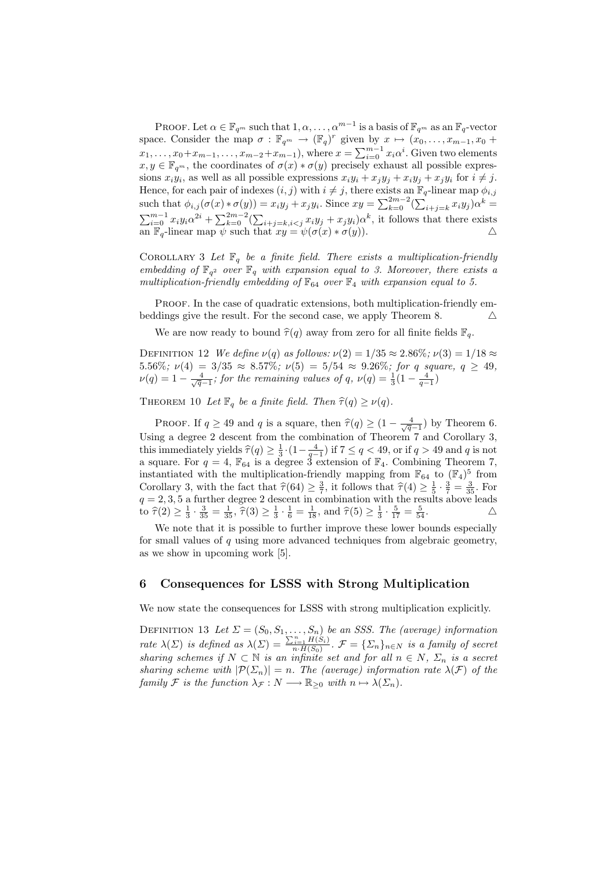PROOF. Let  $\alpha \in \mathbb{F}_{q^m}$  such that  $1, \alpha, \ldots, \alpha^{m-1}$  is a basis of  $\mathbb{F}_{q^m}$  as an  $\mathbb{F}_q$ -vector space. Consider the map  $\sigma : \mathbb{F}_{q^m} \to (\mathbb{F}_q)^r$  given by  $x \mapsto (x_0, \ldots, x_{m-1}, x_0 +$  $x_1, \ldots, x_0+x_{m-1}, \ldots, x_{m-2}+x_{m-1}$ ), where  $x = \sum_{i=0}^{m-1} x_i \alpha^i$ . Given two elements  $x, y \in \mathbb{F}_{q^m}$ , the coordinates of  $\sigma(x) * \sigma(y)$  precisely exhaust all possible expressions  $x_i y_i$ , as well as all possible expressions  $x_i y_i + x_j y_j + x_i y_j + x_j y_i$  for  $i \neq j$ . Hence, for each pair of indexes  $(i, j)$  with  $i \neq j$ , there exists an  $\mathbb{F}_q$ -linear map  $\phi_{i,j}$ such that  $\phi_{i,j}(\sigma(x)*\sigma(y)) = x_iy_j + x_jy_i$ . Since  $xy = \sum_{k=0}^{2m-2} (\sum_{i+j=k} x_iy_j) \alpha^k =$  $\sum_{i=0}^{m-1} x_i y_i \alpha^{2i} + \sum_{k=0}^{2m-2} (\sum_{i+j=k, i < j} x_i y_j + x_j y_i) \alpha^k$ , it follows that there exists an  $\overline{\mathbb{F}_q}$ -linear map  $\overline{\psi}$  such that  $xy = \psi(\sigma(x) * \sigma(y))$ .

COROLLARY 3 Let  $\mathbb{F}_q$  be a finite field. There exists a multiplication-friendly embedding of  $\mathbb{F}_{q^2}$  over  $\mathbb{F}_q$  with expansion equal to 3. Moreover, there exists a multiplication-friendly embedding of  $\mathbb{F}_{64}$  over  $\mathbb{F}_4$  with expansion equal to 5.

PROOF. In the case of quadratic extensions, both multiplication-friendly embeddings give the result. For the second case, we apply Theorem 8.  $\triangle$ 

We are now ready to bound  $\hat{\tau}(q)$  away from zero for all finite fields  $\mathbb{F}_q$ .

DEFINITION 12 We define  $\nu(q)$  as follows:  $\nu(2) = 1/35 \approx 2.86\%; \nu(3) = 1/18 \approx$ 5.56%;  $\nu(4) = 3/35 \approx 8.57\%$ ;  $\nu(5) = 5/54 \approx 9.26\%$ ; for q square,  $q \ge 49$ ,  $\nu(q) = 1 - \frac{4}{\sqrt{q}-1}$ ; for the remaining values of q,  $\nu(q) = \frac{1}{3}(1 - \frac{4}{q-1})$ 

THEOREM 10 Let  $\mathbb{F}_q$  be a finite field. Then  $\widehat{\tau}(q) \geq \nu(q)$ .

PROOF. If  $q \ge 49$  and q is a square, then  $\hat{\tau}(q) \ge (1 - \frac{4}{\sqrt{q}-1})$  by Theorem 6. Using a degree 2 descent from the combination of Theorem 7 and Corollary 3, this immediately yields  $\hat{\tau}(q) \geq \frac{1}{3} \cdot (1 - \frac{4}{q-1})$  if  $7 \leq q < 49$ , or if  $q > 49$  and q is not a square. For  $q = 4$ ,  $\mathbb{F}_{64}$  is a degree 3 extension of  $\mathbb{F}_{4}$ . Combining Theorem 7, instantiated with the multiplication-friendly mapping from  $\mathbb{F}_{64}$  to  $(\mathbb{F}_4)^5$  from Corollary 3, with the fact that  $\hat{\tau}(64) \geq \frac{3}{7}$ , it follows that  $\hat{\tau}(4) \geq \frac{1}{5} \cdot \frac{3}{7} = \frac{3}{35}$ . For  $q = 2, 3, 5$  a further degree 2 descent in combination with the results above leads to  $\hat{\tau}(2) \ge \frac{1}{3} \cdot \frac{3}{35} = \frac{1}{35}$ ,  $\hat{\tau}(3) \ge \frac{1}{3} \cdot \frac{1}{6} = \frac{1}{18}$ , and  $\hat{\tau}(5) \ge \frac{1}{3} \cdot \frac{5}{17} = \frac{5}{54}$ .

We note that it is possible to further improve these lower bounds especially for small values of  $q$  using more advanced techniques from algebraic geometry, as we show in upcoming work [5].

# 6 Consequences for LSSS with Strong Multiplication

We now state the consequences for LSSS with strong multiplication explicitly.

DEFINITION 13 Let  $\Sigma = (S_0, S_1, \ldots, S_n)$  be an SSS. The (average) information rate  $\lambda(\Sigma)$  is defined as  $\lambda(\Sigma) = \frac{\sum_{i=1}^{n} H(S_i)}{n \cdot H(S_0)}$ .  $\mathcal{F} = {\sum_{n} \}_{n \in \mathbb{N}}$  is a family of secret sharing schemes if  $N \subset \mathbb{N}$  is an infinite set and for all  $n \in N$ ,  $\Sigma_n$  is a secret sharing scheme with  $|\mathcal{P}(\Sigma_n)| = n$ . The (average) information rate  $\lambda(\mathcal{F})$  of the family F is the function  $\lambda_{\mathcal{F}} : N \longrightarrow \mathbb{R}_{\geq 0}$  with  $n \mapsto \lambda(\Sigma_n)$ .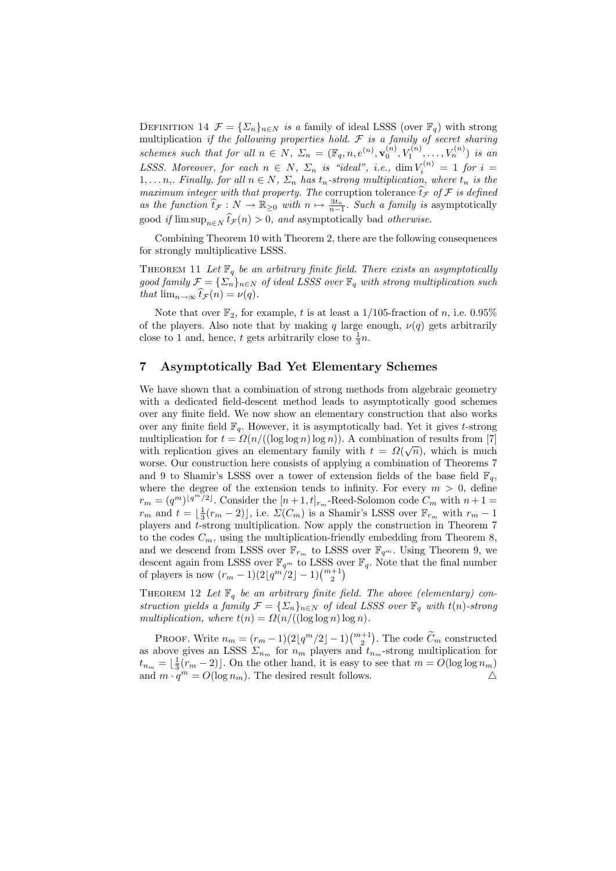DEFINITION 14  $\mathcal{F} = {\{\Sigma_n\}}_{n \in N}$  is a family of ideal LSSS (over  $\mathbb{F}_q$ ) with strong multiplication if the following properties hold.  $\mathcal F$  is a family of secret sharing schemes such that for all  $n \in N$ ,  $\Sigma_n = (\mathbb{F}_q, n, e^{(n)}, \mathbf{v}_0^{(n)}, V_1^{(n)}, \dots, V_n^{(n)})$  is an LSSS. Moreover, for each  $n \in N$ ,  $\Sigma_n$  is "ideal", i.e.,  $\dim V_i^{(n)} = 1$  for  $i =$  $1, \ldots n$ , Finally, for all  $n \in N$ ,  $\Sigma_n$  has  $t_n$ -strong multiplication, where  $t_n$  is the maximum integer with that property. The corruption tolerance  $\hat{t}_{\mathcal{F}}$  of  $\mathcal F$  is defined as the function  $\hat{t}_{\mathcal{F}} : N \to \mathbb{R}_{\geq 0}$  with  $n \mapsto \frac{3t_n}{n-1}$ . Such a family is asymptotically good *if*  $\limsup_{n \in \mathbb{N}} t_{\mathcal{F}}(n) > 0$ , and asymptotically bad *otherwise*.

Combining Theorem 10 with Theorem 2, there are the following consequences for strongly multiplicative LSSS.

THEOREM 11 Let  $\mathbb{F}_q$  be an arbitrary finite field. There exists an asymptotically good family  $\mathcal{F} = {\{\Sigma_n\}_{{n \in N}}\}$  of ideal LSSS over  $\mathbb{F}_q$  with strong multiplication such that  $\lim_{n\to\infty} \hat{t}_{\mathcal{F}}(n) = \nu(q).$ 

Note that over  $\mathbb{F}_2$ , for example, t is at least a 1/105-fraction of n, i.e. 0.95% of the players. Also note that by making q large enough,  $\nu(q)$  gets arbitrarily close to 1 and, hence, t gets arbitrarily close to  $\frac{1}{3}n$ .

# 7 Asymptotically Bad Yet Elementary Schemes

We have shown that a combination of strong methods from algebraic geometry with a dedicated field-descent method leads to asymptotically good schemes over any finite field. We now show an elementary construction that also works over any finite field  $\mathbb{F}_q$ . However, it is asymptotically bad. Yet it gives t-strong multiplication for  $t = \Omega(n/((\log \log n) \log n))$ . A combination of results from [7] with replication gives an elementary family with  $t = \Omega(\sqrt{n})$ , which is much worse. Our construction here consists of applying a combination of Theorems 7 and 9 to Shamir's LSSS over a tower of extension fields of the base field  $\mathbb{F}_q$ , where the degree of the extension tends to infinity. For every  $m > 0$ , define  $r_m = (q^m)^{\lfloor q^m/2 \rfloor}$ . Consider the  $[n+1, t]_{r_m}$ -Reed-Solomon code  $C_m$  with  $n+1 =$  $r_m$  and  $t = \lfloor \frac{1}{3}(r_m - 2) \rfloor$ , i.e.  $\Sigma(C_m)$  is a Shamir's LSSS over  $\mathbb{F}_{r_m}$  with  $r_m - 1$ players and t-strong multiplication. Now apply the construction in Theorem 7 to the codes  $C_m$ , using the multiplication-friendly embedding from Theorem 8, and we descend from LSSS over  $\mathbb{F}_{r_m}$  to LSSS over  $\mathbb{F}_{q^m}.$  Using Theorem 9, we descent again from LSSS over  $\mathbb{F}_{q^m}$  to LSSS over  $\mathbb{F}_q$ . Note that the final number of players is now  $(r_m - 1)(2\lfloor q^m/2 \rfloor - 1)\binom{m+1}{2}$ 

THEOREM 12 Let  $\mathbb{F}_q$  be an arbitrary finite field. The above (elementary) construction yields a family  $\mathcal{F} = {\{\Sigma_n\}}_{n \in N}$  of ideal LSSS over  $\mathbb{F}_q$  with  $t(n)$ -strong multiplication, where  $t(n) = \Omega(n/((\log \log n) \log n)$ .

PROOF. Write  $n_m = (r_m - 1)(2\lfloor q^m/2 \rfloor - 1)\binom{m+1}{2}$ . The code  $\widetilde{C}_m$  constructed as above gives an LSSS  $\Sigma_{n_m}$  for  $n_m$  players and  $t_{n_m}$ -strong multiplication for  $t_{n_m} = \lfloor \frac{1}{3}(r_m - 2) \rfloor$ . On the other hand, it is easy to see that  $m = O(\log \log n_m)$ and  $m \cdot q^m = O(\log n_m)$ . The desired result follows.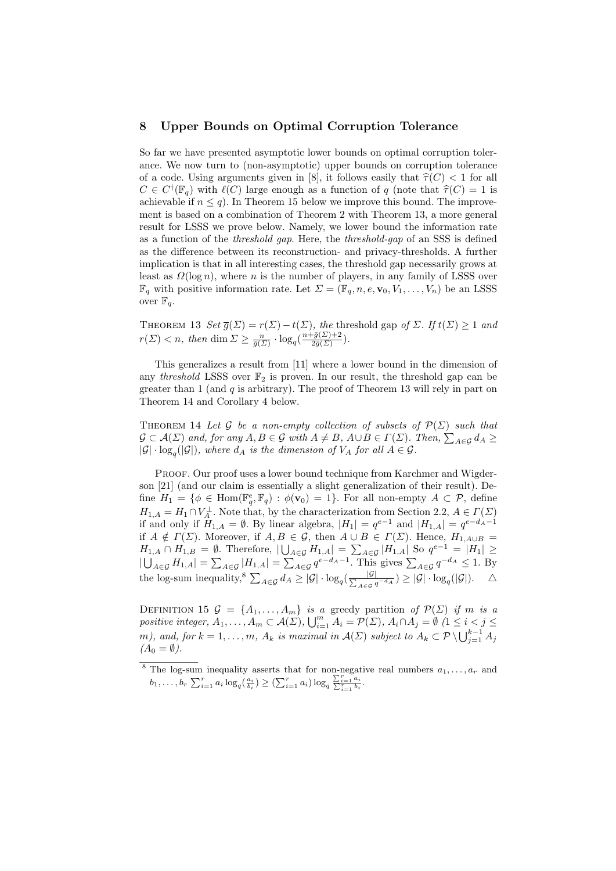# 8 Upper Bounds on Optimal Corruption Tolerance

So far we have presented asymptotic lower bounds on optimal corruption tolerance. We now turn to (non-asymptotic) upper bounds on corruption tolerance of a code. Using arguments given in [8], it follows easily that  $\hat{\tau}(C) < 1$  for all  $C \in C^{\dagger}(\mathbb{F}_q)$  with  $\ell(C)$  large enough as a function of q (note that  $\hat{\tau}(C) = 1$  is achievable if  $n \leq q$ ). In Theorem 15 below we improve this bound. The improvement is based on a combination of Theorem 2 with Theorem 13, a more general result for LSSS we prove below. Namely, we lower bound the information rate as a function of the threshold gap. Here, the threshold-gap of an SSS is defined as the difference between its reconstruction- and privacy-thresholds. A further implication is that in all interesting cases, the threshold gap necessarily grows at least as  $\Omega(\log n)$ , where n is the number of players, in any family of LSSS over  $\mathbb{F}_q$  with positive information rate. Let  $\Sigma = (\mathbb{F}_q, n, e, \mathbf{v}_0, V_1, \dots, V_n)$  be an LSSS over  $\mathbb{F}_q$ .

THEOREM 13 Set  $\overline{g}(\Sigma) = r(\Sigma) - t(\Sigma)$ , the threshold gap of  $\Sigma$ . If  $t(\Sigma) \geq 1$  and  $r(\Sigma) < n$ , then dim  $\Sigma \ge \frac{n}{\bar{g}(\Sigma)} \cdot \log_q(\frac{n + \bar{g}(\Sigma) + 2}{2\bar{g}(\Sigma)})$  $\frac{eg(\angle f+2)}{2\bar{g}(\Sigma)}$ ).

This generalizes a result from [11] where a lower bound in the dimension of any threshold LSSS over  $\mathbb{F}_2$  is proven. In our result, the threshold gap can be greater than 1 (and  $q$  is arbitrary). The proof of Theorem 13 will rely in part on Theorem 14 and Corollary 4 below.

THEOREM 14 Let G be a non-empty collection of subsets of  $\mathcal{P}(\Sigma)$  such that  $\mathcal{G} \subset \mathcal{A}(\Sigma)$  and, for any  $A, B \in \mathcal{G}$  with  $A \neq B$ ,  $A \cup B \in \Gamma(\Sigma)$ . Then,  $\sum_{A \in \mathcal{G}} d_A \ge$  $|\mathcal{G}| \cdot \log_q(|\mathcal{G}|)$ , where  $d_A$  is the dimension of  $V_A$  for all  $A \in \mathcal{G}$ .

Proof. Our proof uses a lower bound technique from Karchmer and Wigderson [21] (and our claim is essentially a slight generalization of their result). Define  $H_1 = \{ \phi \in \text{Hom}(\mathbb{F}_q^e, \mathbb{F}_q) : \phi(\mathbf{v}_0) = 1 \}.$  For all non-empty  $A \subset \mathcal{P}$ , define  $H_{1,A} = H_1 \cap V_A^{\perp}$ . Note that, by the characterization from Section 2.2,  $A \in \Gamma(\Sigma)$ if and only if  $H_{1,A} = \emptyset$ . By linear algebra,  $|H_1| = q^{e-1}$  and  $|H_{1,A}| = q^{e-d_A-1}$ if  $A \notin \Gamma(\Sigma)$ . Moreover, if  $A, B \in \mathcal{G}$ , then  $A \cup B \in \Gamma(\Sigma)$ . Hence,  $H_{1,A\cup B} =$  $H_{1,A} \cap H_{1,B} = \emptyset$ . Therefore,  $|\bigcup_{A \in \mathcal{G}} H_{1,A}| = \sum_{A \in \mathcal{G}} |H_{1,A}|$  So  $q^{e-1} = |H_1| \ge$  $|\bigcup_{A\in\mathcal{G}}H_{1,A}|=\sum_{A\in\mathcal{G}}|H_{1,A}|=\sum_{A\in\mathcal{G}}q^{e-d_A-1}$ . This gives  $\sum_{A\in\mathcal{G}}q^{-d_A}\leq 1$ . By the log-sum inequality,<sup>8</sup>  $\sum_{A \in \mathcal{G}} d_A \geq |\mathcal{G}| \cdot \log_q(\frac{|\mathcal{G}|}{\sum_{A \in \mathcal{G}} q^{-d_A}}) \geq |\mathcal{G}| \cdot \log_q(|\mathcal{G}|).$   $\Delta$ 

DEFINITION 15  $\mathcal{G} = \{A_1, \ldots, A_m\}$  is a greedy partition of  $\mathcal{P}(\Sigma)$  if m is a positive integer,  $A_1, \ldots, A_m \subset \mathcal{A}(\Sigma)$ ,  $\bigcup_{i=1}^m A_i = \mathcal{P}(\Sigma)$ ,  $A_i \cap A_j = \emptyset$   $(1 \leq i < j \leq n)$ m), and, for  $k = 1, ..., m$ ,  $A_k$  is maximal in  $\mathcal{A}(\Sigma)$  subject to  $A_k \subset \mathcal{P} \setminus \bigcup_{j=1}^{k-1} A_j$  $(A_0 = \emptyset).$ 

<sup>&</sup>lt;sup>8</sup> The log-sum inequality asserts that for non-negative real numbers  $a_1, \ldots, a_r$  and  $b_1, \ldots, b_r \sum_{i=1}^r a_i \log_q(\frac{a_i}{b_i}) \geq (\sum_{i=1}^r a_i) \log_q \frac{\sum_{i=1}^r a_i}{\sum_{i=1}^r b_i}.$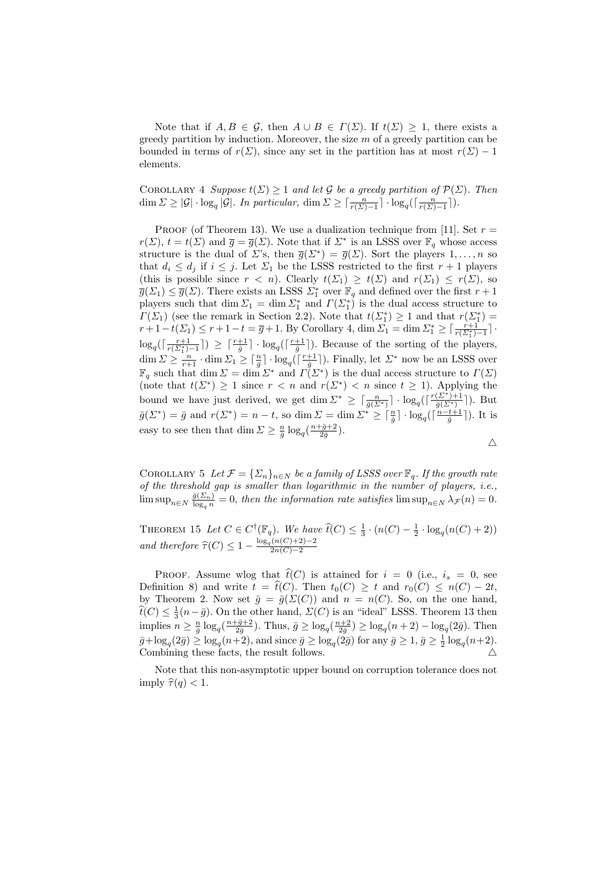Note that if  $A, B \in \mathcal{G}$ , then  $A \cup B \in \Gamma(\Sigma)$ . If  $t(\Sigma) \geq 1$ , there exists a greedy partition by induction. Moreover, the size  $m$  of a greedy partition can be bounded in terms of  $r(\Sigma)$ , since any set in the partition has at most  $r(\Sigma) - 1$ elements.

COROLLARY 4 Suppose  $t(\Sigma) > 1$  and let G be a greedy partition of  $\mathcal{P}(\Sigma)$ . Then  $\dim \Sigma \geq |\mathcal{G}| \cdot \log_q |\mathcal{G}|$ . In particular,  $\dim \Sigma \geq \lceil \frac{n}{r(\Sigma)-1} \rceil \cdot \log_q(\lceil \frac{n}{r(\Sigma)-1} \rceil)$ .

PROOF (of Theorem 13). We use a dualization technique from [11]. Set  $r =$  $r(\Sigma)$ ,  $t = t(\Sigma)$  and  $\overline{g} = \overline{g}(\Sigma)$ . Note that if  $\Sigma^*$  is an LSSS over  $\mathbb{F}_q$  whose access structure is the dual of  $\Sigma$ 's, then  $\overline{g}(\Sigma^*) = \overline{g}(\Sigma)$ . Sort the players  $1, \ldots, n$  so that  $d_i \leq d_j$  if  $i \leq j$ . Let  $\Sigma_1$  be the LSSS restricted to the first  $r+1$  players (this is possible since  $r < n$ ). Clearly  $t(\Sigma_1) \geq t(\Sigma)$  and  $r(\Sigma_1) \leq r(\Sigma)$ , so  $\overline{g}(\Sigma_1) \leq \overline{g}(\Sigma)$ . There exists an LSSS  $\Sigma_1^*$  over  $\mathbb{F}_q$  and defined over the first  $r + 1$ players such that dim  $\Sigma_1 = \dim \Sigma_1^*$  and  $\Gamma(\Sigma_1^*)$  is the dual access structure to  $\Gamma(\Sigma_1)$  (see the remark in Section 2.2). Note that  $t(\Sigma_1^*) \geq 1$  and that  $r(\Sigma_1^*)$  =  $r+1-t(\Sigma_1) \leq r+1-t = \overline{g}+1$ . By Corollary 4, dim  $\Sigma_1 = \dim \Sigma_1^* \geq \lceil \frac{r+1}{r(\Sigma_1^*)-1} \rceil$ .  $\log_q(\lceil \frac{r+1}{r(\Sigma_1^*)-1} \rceil) \geq \lceil \frac{r+1}{\bar{g}} \rceil \cdot \log_q(\lceil \frac{r+1}{\bar{g}} \rceil)$ . Because of the sorting of the players,  $\dim \Sigma \geq \frac{n}{r+1} \cdot \dim \Sigma_1 \geq \lceil \frac{n}{\overline{g}} \rceil \cdot \log_q(\lceil \frac{r+1}{\overline{g}} \rceil)$ . Finally, let  $\Sigma^*$  now be an LSSS over  $\mathbb{F}_q$  such that dim  $\Sigma = \dim \Sigma^*$  and  $\Gamma(\Sigma^*)$  is the dual access structure to  $\Gamma(\Sigma)$ (note that  $t(\Sigma^*) \geq 1$  since  $r < n$  and  $r(\Sigma^*) < n$  since  $t \geq 1$ ). Applying the bound we have just derived, we get dim  $\Sigma^* \geq \lceil \frac{n}{\overline{g}(\Sigma^*)} \rceil \cdot \log_q(\lceil \frac{r(\Sigma^*)+1}{\overline{g}(\Sigma^*)} \rceil)$ . But  $\bar{g}(\Sigma^*) = \bar{g} \text{ and } r(\Sigma^*) = n - t$ , so dim  $\Sigma = \dim \Sigma^* \geq \lceil \frac{n}{\bar{g}} \rceil \cdot \log_q(\lceil \frac{n-t+1}{\bar{g}} \rceil)$ . It is easy to see then that  $\dim \Sigma \geq \frac{n}{\overline{g}} \log_q(\frac{n+\overline{g}+2}{2\overline{g}})$ .

$$
\triangle
$$

COROLLARY 5 Let  $\mathcal{F} = {\sum_n}_{n \in \mathbb{N}}$  be a family of LSSS over  $\mathbb{F}_q$ . If the growth rate of the threshold gap is smaller than logarithmic in the number of players, i.e.,  $\limsup_{n\in\mathbb{N}}\frac{\bar{g}(\Sigma_n)}{\log_q n}=0$ , then the information rate satisfies  $\limsup_{n\in\mathbb{N}}\lambda_{\mathcal{F}}(n)=0$ .

THEOREM 15 Let  $C \in C^{\dagger}(\mathbb{F}_q)$ . We have  $\widehat{t}(C) \leq \frac{1}{3} \cdot (n(C) - \frac{1}{2} \cdot \log_q(n(C) + 2))$ and therefore  $\widehat{\tau}(C) \leq 1 - \frac{\log_q(n(C) + 2) - 2}{2n(C) - 2}$  $2n(C)-2$ 

PROOF. Assume wlog that  $\hat{t}(C)$  is attained for  $i = 0$  (i.e.,  $i_s = 0$ , see Definition 8) and write  $t = \hat{t}(C)$ . Then  $t_0(C) \geq t$  and  $r_0(C) \leq n(C) - 2t$ , by Theorem 2. Now set  $\bar{g} = \bar{g}(\Sigma(C))$  and  $n = n(C)$ . So, on the one hand,  $\widehat{t}(C) \leq \frac{1}{3}(n-\bar{g})$ . On the other hand,  $\Sigma(C)$  is an "ideal" LSSS. Theorem 13 then implies  $n \ge \frac{n}{\bar{g}} \log_q(\frac{n+\bar{g}+2}{2\bar{g}})$ . Thus,  $\bar{g} \ge \log_q(\frac{n+2}{2\bar{g}}) \ge \log_q(n+2) - \log_q(2\bar{g})$ . Then  $\bar{g} + \log_q(2\bar{g}) \ge \log_q(n+2)$ , and since  $\bar{g} \ge \log_q(2\bar{g})$  for any  $\bar{g} \ge 1$ ,  $\bar{g} \ge \frac{1}{2}\log_q(n+2)$ . Combining these facts, the result follows.  $\triangle$ 

Note that this non-asymptotic upper bound on corruption tolerance does not imply  $\widehat{\tau}(q) < 1$ .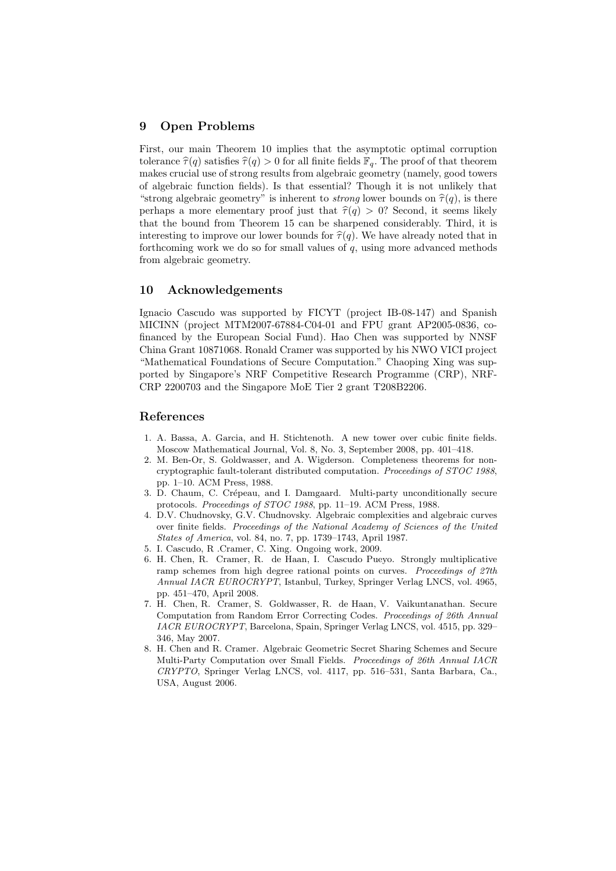# 9 Open Problems

First, our main Theorem 10 implies that the asymptotic optimal corruption tolerance  $\hat{\tau}(q)$  satisfies  $\hat{\tau}(q) > 0$  for all finite fields  $\mathbb{F}_q$ . The proof of that theorem makes crucial use of strong results from algebraic geometry (namely, good towers of algebraic function fields). Is that essential? Though it is not unlikely that "strong algebraic geometry" is inherent to *strong* lower bounds on  $\hat{\tau}(q)$ , is there perhaps a more elementary proof just that  $\hat{\tau}(q) > 0$ ? Second, it seems likely that the bound from Theorem 15 can be sharpened considerably. Third, it is interesting to improve our lower bounds for  $\hat{\tau}(q)$ . We have already noted that in forthcoming work we do so for small values of  $q$ , using more advanced methods from algebraic geometry.

### 10 Acknowledgements

Ignacio Cascudo was supported by FICYT (project IB-08-147) and Spanish MICINN (project MTM2007-67884-C04-01 and FPU grant AP2005-0836, cofinanced by the European Social Fund). Hao Chen was supported by NNSF China Grant 10871068. Ronald Cramer was supported by his NWO VICI project "Mathematical Foundations of Secure Computation." Chaoping Xing was supported by Singapore's NRF Competitive Research Programme (CRP), NRF-CRP 2200703 and the Singapore MoE Tier 2 grant T208B2206.

### References

- 1. A. Bassa, A. Garcia, and H. Stichtenoth. A new tower over cubic finite fields. Moscow Mathematical Journal, Vol. 8, No. 3, September 2008, pp. 401–418.
- 2. M. Ben-Or, S. Goldwasser, and A. Wigderson. Completeness theorems for noncryptographic fault-tolerant distributed computation. Proceedings of STOC 1988, pp. 1–10. ACM Press, 1988.
- 3. D. Chaum, C. Crépeau, and I. Damgaard. Multi-party unconditionally secure protocols. Proceedings of STOC 1988, pp. 11–19. ACM Press, 1988.
- 4. D.V. Chudnovsky, G.V. Chudnovsky. Algebraic complexities and algebraic curves over finite fields. Proceedings of the National Academy of Sciences of the United States of America, vol. 84, no. 7, pp. 1739–1743, April 1987.
- 5. I. Cascudo, R .Cramer, C. Xing. Ongoing work, 2009.
- 6. H. Chen, R. Cramer, R. de Haan, I. Cascudo Pueyo. Strongly multiplicative ramp schemes from high degree rational points on curves. Proceedings of 27th Annual IACR EUROCRYPT, Istanbul, Turkey, Springer Verlag LNCS, vol. 4965, pp. 451–470, April 2008.
- 7. H. Chen, R. Cramer, S. Goldwasser, R. de Haan, V. Vaikuntanathan. Secure Computation from Random Error Correcting Codes. Proceedings of 26th Annual IACR EUROCRYPT, Barcelona, Spain, Springer Verlag LNCS, vol. 4515, pp. 329– 346, May 2007.
- 8. H. Chen and R. Cramer. Algebraic Geometric Secret Sharing Schemes and Secure Multi-Party Computation over Small Fields. Proceedings of 26th Annual IACR CRYPTO, Springer Verlag LNCS, vol. 4117, pp. 516–531, Santa Barbara, Ca., USA, August 2006.